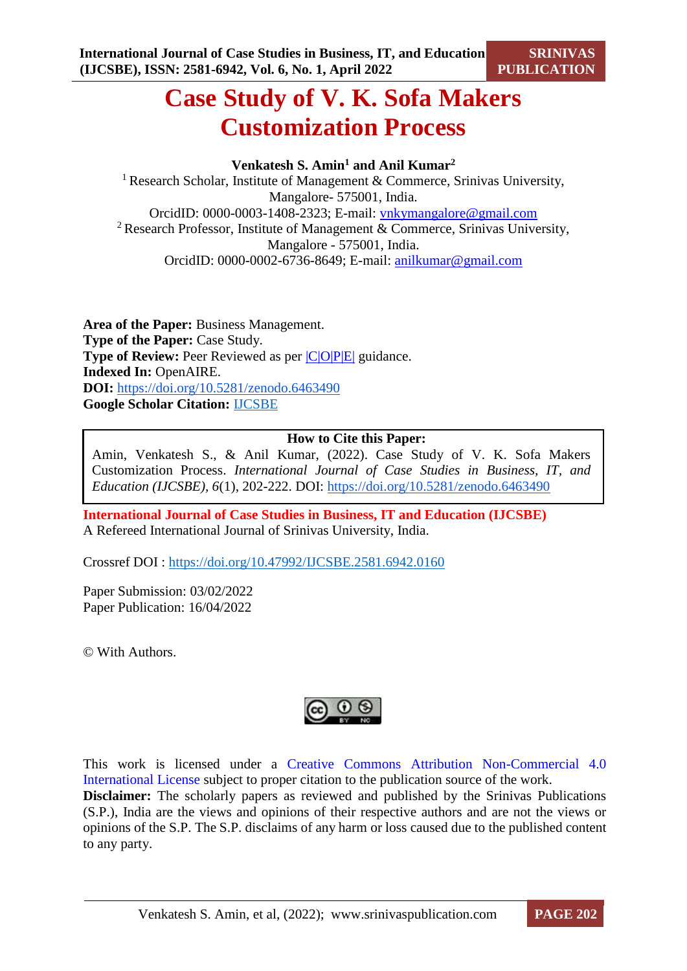# **Case Study of V. K. Sofa Makers Customization Process**

# **Venkatesh S. Amin<sup>1</sup> and Anil Kumar<sup>2</sup>**

<sup>1</sup> Research Scholar, Institute of Management & Commerce, Srinivas University, Mangalore- 575001, India. OrcidID: 0000-0003-1408-2323; E-mail: [vnkymangalore@gmail.com](mailto:vnkymangalore@gmail.com) <sup>2</sup> Research Professor, Institute of Management & Commerce, Srinivas University, Mangalore - 575001, India. OrcidID: 0000-0002-6736-8649; E-mail: [anilkumar@gmail.com](mailto:anilkumar@gmail.com)

**Area of the Paper:** Business Management. **Type of the Paper:** Case Study. **Type of Review:** Peer Reviewed as per  $|C|O||P|E|$  guidance. **Indexed In:** OpenAIRE. **DOI:** <https://doi.org/10.5281/zenodo.6463490> **Google Scholar Citation:** [IJCSBE](https://scholar.google.com/citations?user=yGYPA1MAAAAJ)

# **How to Cite this Paper:**

Amin, Venkatesh S., & Anil Kumar, (2022). Case Study of V. K. Sofa Makers Customization Process. *International Journal of Case Studies in Business, IT, and Education (IJCSBE), 6*(1), 202-222. DOI: <https://doi.org/10.5281/zenodo.6463490>

**International Journal of Case Studies in Business, IT and Education (IJCSBE)** A Refereed International Journal of Srinivas University, India.

Crossref DOI : [https://doi.org/10.47992/IJCSBE.2581.6942.0160](https://search.crossref.org/?q=10.47992%2FIJCSBE.2581.6942.0160&from_ui=yes)

Paper Submission: 03/02/2022 Paper Publication: 16/04/2022

© With Authors.



This work is licensed under a Creative Commons Attribution Non-Commercial 4.0 International License subject to proper citation to the publication source of the work. **Disclaimer:** The scholarly papers as reviewed and published by the Srinivas Publications (S.P.), India are the views and opinions of their respective authors and are not the views or opinions of the S.P. The S.P. disclaims of any harm or loss caused due to the published content to any party.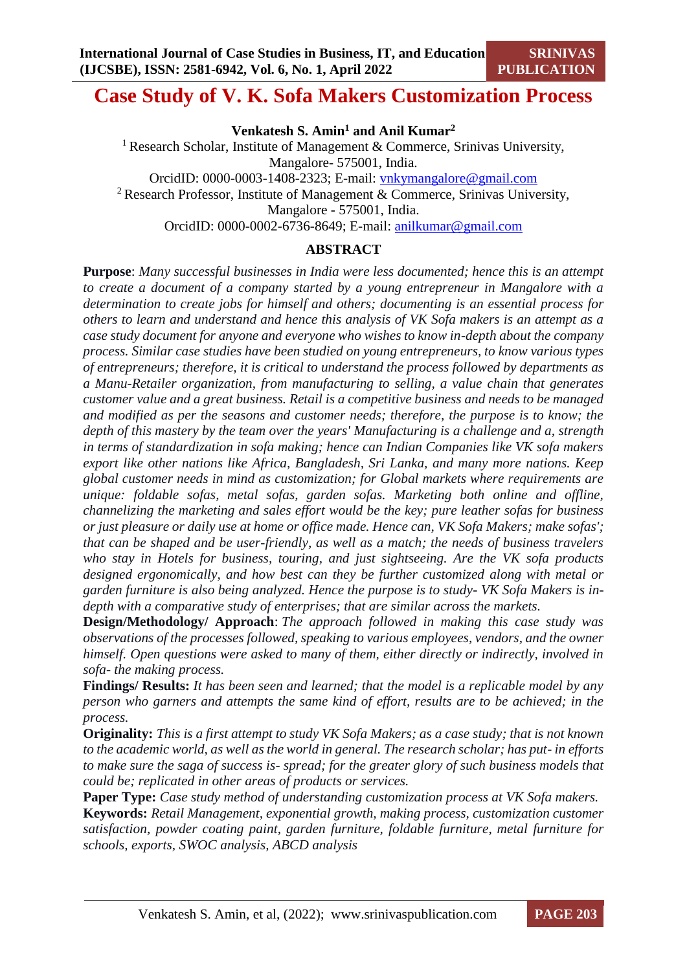# **Case Study of V. K. Sofa Makers Customization Process**

**Venkatesh S. Amin<sup>1</sup> and Anil Kumar<sup>2</sup>**

<sup>1</sup> Research Scholar, Institute of Management & Commerce, Srinivas University, Mangalore- 575001, India. OrcidID: 0000-0003-1408-2323; E-mail: [vnkymangalore@gmail.com](mailto:vnkymangalore@gmail.com) <sup>2</sup> Research Professor, Institute of Management & Commerce, Srinivas University, Mangalore - 575001, India.

OrcidID: 0000-0002-6736-8649; E-mail: [anilkumar@gmail.com](mailto:anilkumar@gmail.com)

## **ABSTRACT**

**Purpose**: *Many successful businesses in India were less documented; hence this is an attempt to create a document of a company started by a young entrepreneur in Mangalore with a determination to create jobs for himself and others; documenting is an essential process for others to learn and understand and hence this analysis of VK Sofa makers is an attempt as a case study document for anyone and everyone who wishes to know in-depth about the company process. Similar case studies have been studied on young entrepreneurs, to know various types of entrepreneurs; therefore, it is critical to understand the process followed by departments as a Manu-Retailer organization, from manufacturing to selling, a value chain that generates customer value and a great business. Retail is a competitive business and needs to be managed and modified as per the seasons and customer needs; therefore, the purpose is to know; the depth of this mastery by the team over the years' Manufacturing is a challenge and a, strength in terms of standardization in sofa making; hence can Indian Companies like VK sofa makers export like other nations like Africa, Bangladesh, Sri Lanka, and many more nations. Keep global customer needs in mind as customization; for Global markets where requirements are unique: foldable sofas, metal sofas, garden sofas. Marketing both online and offline, channelizing the marketing and sales effort would be the key; pure leather sofas for business or just pleasure or daily use at home or office made. Hence can, VK Sofa Makers; make sofas'; that can be shaped and be user-friendly, as well as a match; the needs of business travelers who stay in Hotels for business, touring, and just sightseeing. Are the VK sofa products designed ergonomically, and how best can they be further customized along with metal or garden furniture is also being analyzed. Hence the purpose is to study- VK Sofa Makers is indepth with a comparative study of enterprises; that are similar across the markets.*

**Design/Methodology/ Approach**: *The approach followed in making this case study was observations of the processes followed, speaking to various employees, vendors, and the owner himself. Open questions were asked to many of them, either directly or indirectly, involved in sofa- the making process.*

**Findings/ Results:** *It has been seen and learned; that the model is a replicable model by any person who garners and attempts the same kind of effort, results are to be achieved; in the process.*

**Originality:** *This is a first attempt to study VK Sofa Makers; as a case study; that is not known to the academic world, as well as the world in general. The research scholar; has put- in efforts to make sure the saga of success is- spread; for the greater glory of such business models that could be; replicated in other areas of products or services.*

**Paper Type:** *Case study method of understanding customization process at VK Sofa makers.*

**Keywords:** *Retail Management, exponential growth, making process, customization customer satisfaction, powder coating paint, garden furniture, foldable furniture, metal furniture for schools, exports, SWOC analysis, ABCD analysis*

**SRINIVAS**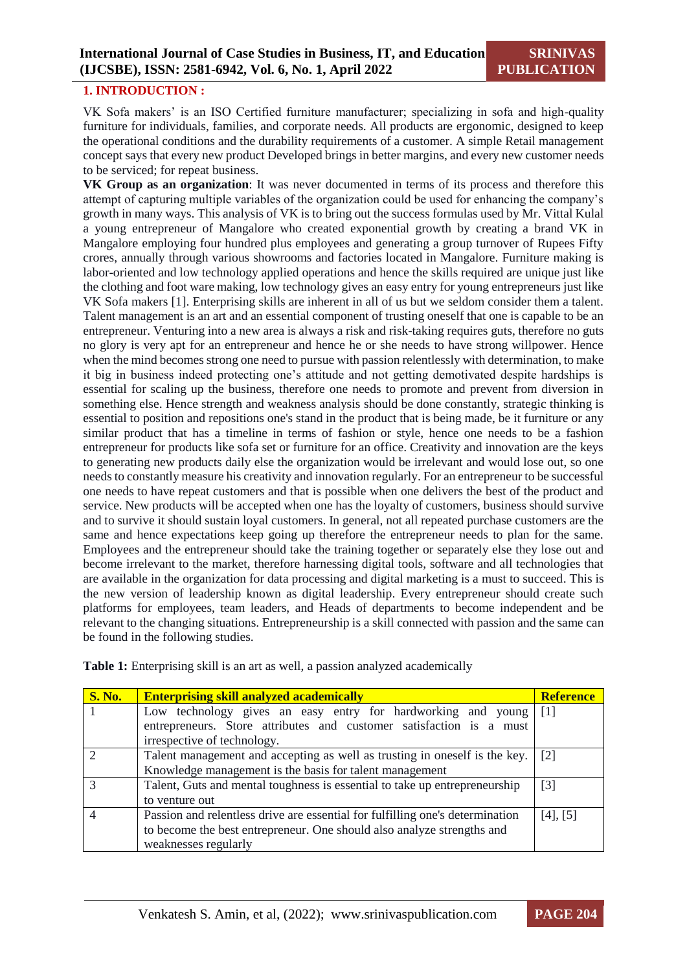#### **1. INTRODUCTION :**

VK Sofa makers' is an ISO Certified furniture manufacturer; specializing in sofa and high-quality furniture for individuals, families, and corporate needs. All products are ergonomic, designed to keep the operational conditions and the durability requirements of a customer. A simple Retail management concept says that every new product Developed brings in better margins, and every new customer needs to be serviced; for repeat business.

**VK Group as an organization**: It was never documented in terms of its process and therefore this attempt of capturing multiple variables of the organization could be used for enhancing the company's growth in many ways. This analysis of VK is to bring out the success formulas used by Mr. Vittal Kulal a young entrepreneur of Mangalore who created exponential growth by creating a brand VK in Mangalore employing four hundred plus employees and generating a group turnover of Rupees Fifty crores, annually through various showrooms and factories located in Mangalore. Furniture making is labor-oriented and low technology applied operations and hence the skills required are unique just like the clothing and foot ware making, low technology gives an easy entry for young entrepreneurs just like VK Sofa makers [1]. Enterprising skills are inherent in all of us but we seldom consider them a talent. Talent management is an art and an essential component of trusting oneself that one is capable to be an entrepreneur. Venturing into a new area is always a risk and risk-taking requires guts, therefore no guts no glory is very apt for an entrepreneur and hence he or she needs to have strong willpower. Hence when the mind becomes strong one need to pursue with passion relentlessly with determination, to make it big in business indeed protecting one's attitude and not getting demotivated despite hardships is essential for scaling up the business, therefore one needs to promote and prevent from diversion in something else. Hence strength and weakness analysis should be done constantly, strategic thinking is essential to position and repositions one's stand in the product that is being made, be it furniture or any similar product that has a timeline in terms of fashion or style, hence one needs to be a fashion entrepreneur for products like sofa set or furniture for an office. Creativity and innovation are the keys to generating new products daily else the organization would be irrelevant and would lose out, so one needs to constantly measure his creativity and innovation regularly. For an entrepreneur to be successful one needs to have repeat customers and that is possible when one delivers the best of the product and service. New products will be accepted when one has the loyalty of customers, business should survive and to survive it should sustain loyal customers. In general, not all repeated purchase customers are the same and hence expectations keep going up therefore the entrepreneur needs to plan for the same. Employees and the entrepreneur should take the training together or separately else they lose out and become irrelevant to the market, therefore harnessing digital tools, software and all technologies that are available in the organization for data processing and digital marketing is a must to succeed. This is the new version of leadership known as digital leadership. Every entrepreneur should create such platforms for employees, team leaders, and Heads of departments to become independent and be relevant to the changing situations. Entrepreneurship is a skill connected with passion and the same can be found in the following studies.

| <b>S. No.</b> | <b>Enterprising skill analyzed academically</b>                               | <b>Reference</b> |  |  |  |
|---------------|-------------------------------------------------------------------------------|------------------|--|--|--|
|               | Low technology gives an easy entry for hardworking and young [1]              |                  |  |  |  |
|               | entrepreneurs. Store attributes and customer satisfaction is a must           |                  |  |  |  |
|               | irrespective of technology.                                                   |                  |  |  |  |
|               | Talent management and accepting as well as trusting in oneself is the key.    | $[2]$            |  |  |  |
|               | Knowledge management is the basis for talent management                       |                  |  |  |  |
|               | Talent, Guts and mental toughness is essential to take up entrepreneurship    |                  |  |  |  |
|               | to venture out                                                                |                  |  |  |  |
|               | Passion and relentless drive are essential for fulfilling one's determination |                  |  |  |  |
|               | to become the best entrepreneur. One should also analyze strengths and        |                  |  |  |  |
|               | weaknesses regularly                                                          |                  |  |  |  |

**Table 1:** Enterprising skill is an art as well, a passion analyzed academically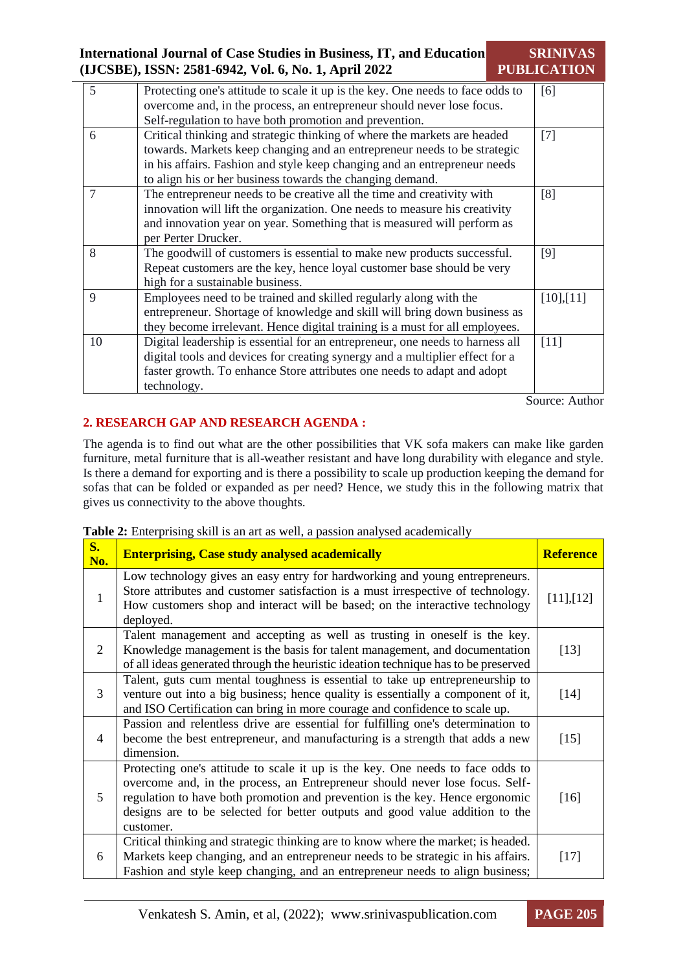| <b>International Journal of Case Studies in Business, IT, and Education</b> | <b>SRINIVAS</b>    |
|-----------------------------------------------------------------------------|--------------------|
| (IJCSBE), ISSN: 2581-6942, Vol. 6, No. 1, April 2022                        | <b>PUBLICATION</b> |

| 5           | Protecting one's attitude to scale it up is the key. One needs to face odds to | [6]        |
|-------------|--------------------------------------------------------------------------------|------------|
|             | overcome and, in the process, an entrepreneur should never lose focus.         |            |
|             | Self-regulation to have both promotion and prevention.                         |            |
| 6           | Critical thinking and strategic thinking of where the markets are headed       | [7]        |
|             | towards. Markets keep changing and an entrepreneur needs to be strategic       |            |
|             | in his affairs. Fashion and style keep changing and an entrepreneur needs      |            |
|             | to align his or her business towards the changing demand.                      |            |
| 7           | The entrepreneur needs to be creative all the time and creativity with         | [8]        |
|             | innovation will lift the organization. One needs to measure his creativity     |            |
|             | and innovation year on year. Something that is measured will perform as        |            |
|             | per Perter Drucker.                                                            |            |
| 8           | The goodwill of customers is essential to make new products successful.        | [9]        |
|             | Repeat customers are the key, hence loyal customer base should be very         |            |
|             | high for a sustainable business.                                               |            |
| $\mathbf Q$ | Employees need to be trained and skilled regularly along with the              | [10], [11] |
|             | entrepreneur. Shortage of knowledge and skill will bring down business as      |            |
|             | they become irrelevant. Hence digital training is a must for all employees.    |            |
| 10          | Digital leadership is essential for an entrepreneur, one needs to harness all  | [11]       |
|             | digital tools and devices for creating synergy and a multiplier effect for a   |            |
|             | faster growth. To enhance Store attributes one needs to adapt and adopt        |            |
|             | technology.                                                                    |            |
|             |                                                                                |            |

Source: Author

# **2. RESEARCH GAP AND RESEARCH AGENDA :**

The agenda is to find out what are the other possibilities that VK sofa makers can make like garden furniture, metal furniture that is all-weather resistant and have long durability with elegance and style. Is there a demand for exporting and is there a possibility to scale up production keeping the demand for sofas that can be folded or expanded as per need? Hence, we study this in the following matrix that gives us connectivity to the above thoughts.

|  |  | Table 2: Enterprising skill is an art as well, a passion analysed academically |
|--|--|--------------------------------------------------------------------------------|

| $S_{\bullet}$<br>No. | <b>Enterprising, Case study analysed academically</b>                                                                                                                                                                                                                                                                                       | <b>Reference</b> |
|----------------------|---------------------------------------------------------------------------------------------------------------------------------------------------------------------------------------------------------------------------------------------------------------------------------------------------------------------------------------------|------------------|
| $\mathbf{1}$         | Low technology gives an easy entry for hardworking and young entrepreneurs.<br>Store attributes and customer satisfaction is a must irrespective of technology.<br>How customers shop and interact will be based; on the interactive technology<br>deployed.                                                                                | [11],[12]        |
| 2                    | Talent management and accepting as well as trusting in oneself is the key.<br>Knowledge management is the basis for talent management, and documentation<br>of all ideas generated through the heuristic ideation technique has to be preserved                                                                                             | $[13]$           |
| 3                    | Talent, guts cum mental toughness is essential to take up entrepreneurship to<br>venture out into a big business; hence quality is essentially a component of it,<br>and ISO Certification can bring in more courage and confidence to scale up.                                                                                            | $[14]$           |
| $\overline{4}$       | Passion and relentless drive are essential for fulfilling one's determination to<br>become the best entrepreneur, and manufacturing is a strength that adds a new<br>dimension.                                                                                                                                                             | $[15]$           |
| 5                    | Protecting one's attitude to scale it up is the key. One needs to face odds to<br>overcome and, in the process, an Entrepreneur should never lose focus. Self-<br>regulation to have both promotion and prevention is the key. Hence ergonomic<br>designs are to be selected for better outputs and good value addition to the<br>customer. | $[16]$           |
| 6                    | Critical thinking and strategic thinking are to know where the market; is headed.<br>Markets keep changing, and an entrepreneur needs to be strategic in his affairs.<br>Fashion and style keep changing, and an entrepreneur needs to align business;                                                                                      | $[17]$           |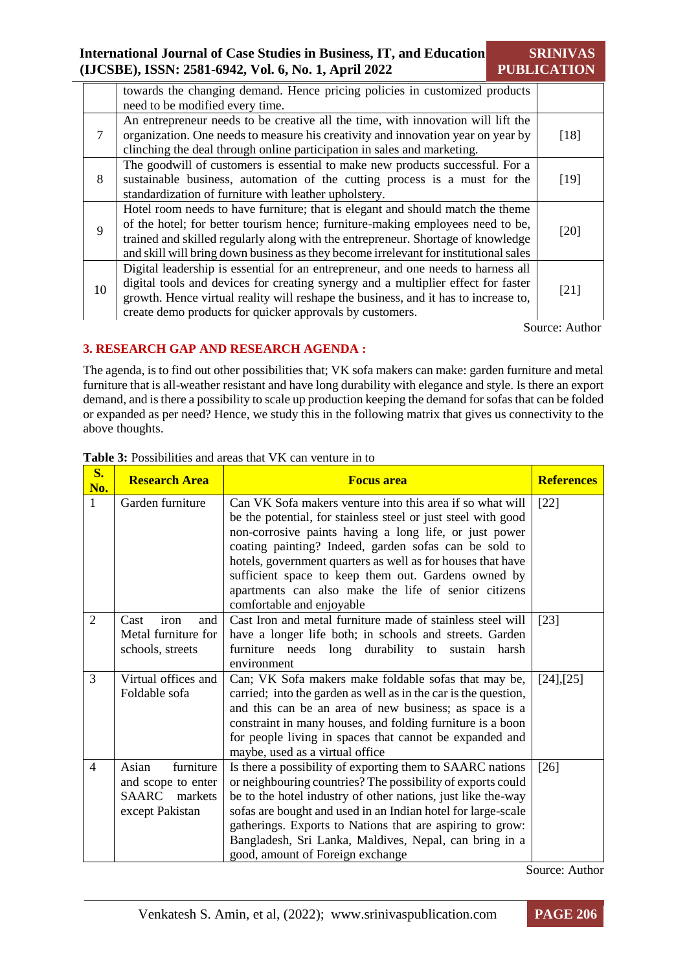**SRINIVAS PUBLICATION**

|              | towards the changing demand. Hence pricing policies in customized products<br>need to be modified every time.                                                                                                                                                                                                                                |      |
|--------------|----------------------------------------------------------------------------------------------------------------------------------------------------------------------------------------------------------------------------------------------------------------------------------------------------------------------------------------------|------|
| 7            | An entrepreneur needs to be creative all the time, with innovation will lift the<br>organization. One needs to measure his creativity and innovation year on year by<br>clinching the deal through online participation in sales and marketing.                                                                                              | [18] |
| 8            | The goodwill of customers is essential to make new products successful. For a<br>sustainable business, automation of the cutting process is a must for the<br>standardization of furniture with leather upholstery.                                                                                                                          | [19] |
| $\mathbf{Q}$ | Hotel room needs to have furniture; that is elegant and should match the theme<br>of the hotel; for better tourism hence; furniture-making employees need to be,<br>trained and skilled regularly along with the entrepreneur. Shortage of knowledge<br>and skill will bring down business as they become irrelevant for institutional sales | [20] |
| 10           | Digital leadership is essential for an entrepreneur, and one needs to harness all<br>digital tools and devices for creating synergy and a multiplier effect for faster<br>growth. Hence virtual reality will reshape the business, and it has to increase to,<br>create demo products for quicker approvals by customers.                    | [21] |

Source: Author

# **3. RESEARCH GAP AND RESEARCH AGENDA :**

The agenda, is to find out other possibilities that; VK sofa makers can make: garden furniture and metal furniture that is all-weather resistant and have long durability with elegance and style. Is there an export demand, and is there a possibility to scale up production keeping the demand for sofas that can be folded or expanded as per need? Hence, we study this in the following matrix that gives us connectivity to the above thoughts.

| $S_{\bullet}$<br>No. | <b>Research Area</b>                                                            | <b>Focus area</b>                                                                                                                                                                                                                                                                                                                                                                                                                                        | <b>References</b> |
|----------------------|---------------------------------------------------------------------------------|----------------------------------------------------------------------------------------------------------------------------------------------------------------------------------------------------------------------------------------------------------------------------------------------------------------------------------------------------------------------------------------------------------------------------------------------------------|-------------------|
| 1                    | Garden furniture                                                                | Can VK Sofa makers venture into this area if so what will<br>be the potential, for stainless steel or just steel with good<br>non-corrosive paints having a long life, or just power<br>coating painting? Indeed, garden sofas can be sold to<br>hotels, government quarters as well as for houses that have<br>sufficient space to keep them out. Gardens owned by<br>apartments can also make the life of senior citizens<br>comfortable and enjoyable | $[22]$            |
| $\overline{2}$       | iron<br>Cast<br>and<br>Metal furniture for<br>schools, streets                  | Cast Iron and metal furniture made of stainless steel will<br>have a longer life both; in schools and streets. Garden<br>durability to<br>furniture needs long<br>sustain<br>harsh<br>environment                                                                                                                                                                                                                                                        | $[23]$            |
| 3                    | Virtual offices and<br>Foldable sofa                                            | Can; VK Sofa makers make foldable sofas that may be,<br>carried; into the garden as well as in the car is the question,<br>and this can be an area of new business; as space is a<br>constraint in many houses, and folding furniture is a boon<br>for people living in spaces that cannot be expanded and<br>maybe, used as a virtual office                                                                                                            | $[24]$ , $[25]$   |
| 4                    | furniture<br>Asian<br>and scope to enter<br>SAARC<br>markets<br>except Pakistan | Is there a possibility of exporting them to SAARC nations<br>or neighbouring countries? The possibility of exports could<br>be to the hotel industry of other nations, just like the-way<br>sofas are bought and used in an Indian hotel for large-scale<br>gatherings. Exports to Nations that are aspiring to grow:<br>Bangladesh, Sri Lanka, Maldives, Nepal, can bring in a<br>good, amount of Foreign exchange                                      | [26]              |

#### **Table 3:** Possibilities and areas that VK can venture in to

Source: Author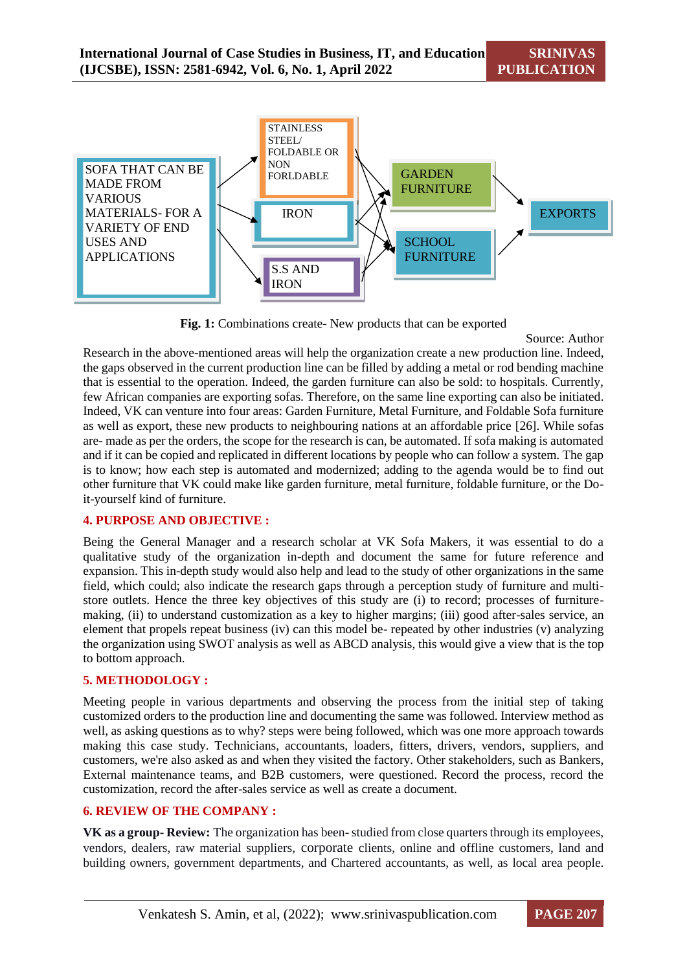

**Fig. 1:** Combinations create- New products that can be exported

Source: Author

Research in the above-mentioned areas will help the organization create a new production line. Indeed, the gaps observed in the current production line can be filled by adding a metal or rod bending machine that is essential to the operation. Indeed, the garden furniture can also be sold: to hospitals. Currently, few African companies are exporting sofas. Therefore, on the same line exporting can also be initiated. Indeed, VK can venture into four areas: Garden Furniture, Metal Furniture, and Foldable Sofa furniture as well as export, these new products to neighbouring nations at an affordable price [26]. While sofas are- made as per the orders, the scope for the research is can, be automated. If sofa making is automated and if it can be copied and replicated in different locations by people who can follow a system. The gap is to know; how each step is automated and modernized; adding to the agenda would be to find out other furniture that VK could make like garden furniture, metal furniture, foldable furniture, or the Doit-yourself kind of furniture.

# **4. PURPOSE AND OBJECTIVE :**

Being the General Manager and a research scholar at VK Sofa Makers, it was essential to do a qualitative study of the organization in-depth and document the same for future reference and expansion. This in-depth study would also help and lead to the study of other organizations in the same field, which could; also indicate the research gaps through a perception study of furniture and multistore outlets. Hence the three key objectives of this study are (i) to record; processes of furnituremaking, (ii) to understand customization as a key to higher margins; (iii) good after-sales service, an element that propels repeat business (iv) can this model be- repeated by other industries (v) analyzing the organization using SWOT analysis as well as ABCD analysis, this would give a view that is the top to bottom approach.

#### **5. METHODOLOGY :**

Meeting people in various departments and observing the process from the initial step of taking customized orders to the production line and documenting the same was followed. Interview method as well, as asking questions as to why? steps were being followed, which was one more approach towards making this case study. Technicians, accountants, loaders, fitters, drivers, vendors, suppliers, and customers, we're also asked as and when they visited the factory. Other stakeholders, such as Bankers, External maintenance teams, and B2B customers, were questioned. Record the process, record the customization, record the after-sales service as well as create a document.

# **6. REVIEW OF THE COMPANY :**

**VK as a group- Review:** The organization has been-studied from close quarters through its employees, vendors, dealers, raw material suppliers, corporate clients, online and offline customers, land and building owners, government departments, and Chartered accountants, as well, as local area people.

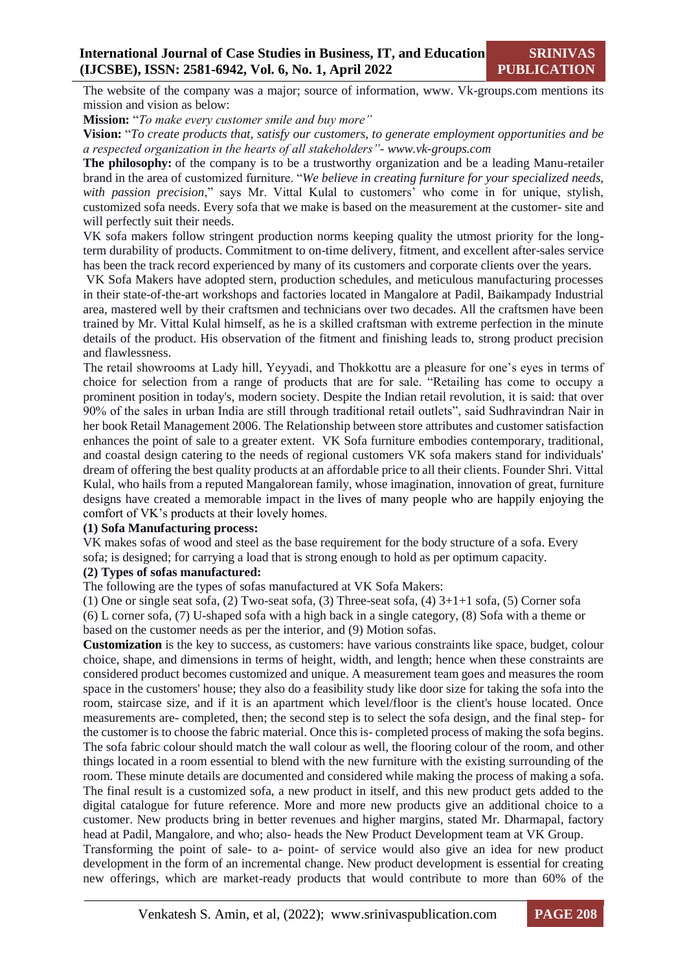The website of the company was a major; source of information, www. Vk-groups.com mentions its mission and vision as below:

**Mission:** "*To make every customer smile and buy more"*

**Vision:** "*To create products that, satisfy our customers, to generate employment opportunities and be a respected organization in the hearts of all stakeholders"- www.vk-groups.com*

**The philosophy:** of the company is to be a trustworthy organization and be a leading Manu-retailer brand in the area of customized furniture. "*We believe in creating furniture for your specialized needs, with passion precision*," says Mr. Vittal Kulal to customers' who come in for unique, stylish, customized sofa needs. Every sofa that we make is based on the measurement at the customer- site and will perfectly suit their needs.

VK sofa makers follow stringent production norms keeping quality the utmost priority for the longterm durability of products. Commitment to on-time delivery, fitment, and excellent after-sales service has been the track record experienced by many of its customers and corporate clients over the years.

VK Sofa Makers have adopted stern, production schedules, and meticulous manufacturing processes in their state-of-the-art workshops and factories located in Mangalore at Padil, Baikampady Industrial area, mastered well by their craftsmen and technicians over two decades. All the craftsmen have been trained by Mr. Vittal Kulal himself, as he is a skilled craftsman with extreme perfection in the minute details of the product. His observation of the fitment and finishing leads to, strong product precision and flawlessness.

The retail showrooms at Lady hill, Yeyyadi, and Thokkottu are a pleasure for one's eyes in terms of choice for selection from a range of products that are for sale. "Retailing has come to occupy a prominent position in today's, modern society. Despite the Indian retail revolution, it is said: that over 90% of the sales in urban India are still through traditional retail outlets", said Sudhravindran Nair in her book Retail Management 2006. The Relationship between store attributes and customer satisfaction enhances the point of sale to a greater extent. VK Sofa furniture embodies contemporary, traditional, and coastal design catering to the needs of regional customers VK sofa makers stand for individuals' dream of offering the best quality products at an affordable price to all their clients. Founder Shri. Vittal Kulal, who hails from a reputed Mangalorean family, whose imagination, innovation of great, furniture designs have created a memorable impact in the lives of many people who are happily enjoying the comfort of VK's products at their lovely homes.

#### **(1) Sofa Manufacturing process:**

VK makes sofas of wood and steel as the base requirement for the body structure of a sofa. Every sofa; is designed; for carrying a load that is strong enough to hold as per optimum capacity.

#### **(2) Types of sofas manufactured:**

The following are the types of sofas manufactured at VK Sofa Makers:

(1) One or single seat sofa, (2) Two-seat sofa, (3) Three-seat sofa, (4) 3+1+1 sofa, (5) Corner sofa (6) L corner sofa, (7) U-shaped sofa with a high back in a single category, (8) Sofa with a theme or based on the customer needs as per the interior, and (9) Motion sofas.

**Customization** is the key to success, as customers: have various constraints like space, budget, colour choice, shape, and dimensions in terms of height, width, and length; hence when these constraints are considered product becomes customized and unique. A measurement team goes and measures the room space in the customers' house; they also do a feasibility study like door size for taking the sofa into the room, staircase size, and if it is an apartment which level/floor is the client's house located. Once measurements are- completed, then; the second step is to select the sofa design, and the final step- for the customer is to choose the fabric material. Once this is- completed process of making the sofa begins. The sofa fabric colour should match the wall colour as well, the flooring colour of the room, and other things located in a room essential to blend with the new furniture with the existing surrounding of the room. These minute details are documented and considered while making the process of making a sofa. The final result is a customized sofa, a new product in itself, and this new product gets added to the digital catalogue for future reference. More and more new products give an additional choice to a customer. New products bring in better revenues and higher margins, stated Mr. Dharmapal, factory head at Padil, Mangalore, and who; also- heads the New Product Development team at VK Group.

Transforming the point of sale- to a- point- of service would also give an idea for new product development in the form of an incremental change. New product development is essential for creating new offerings, which are market-ready products that would contribute to more than 60% of the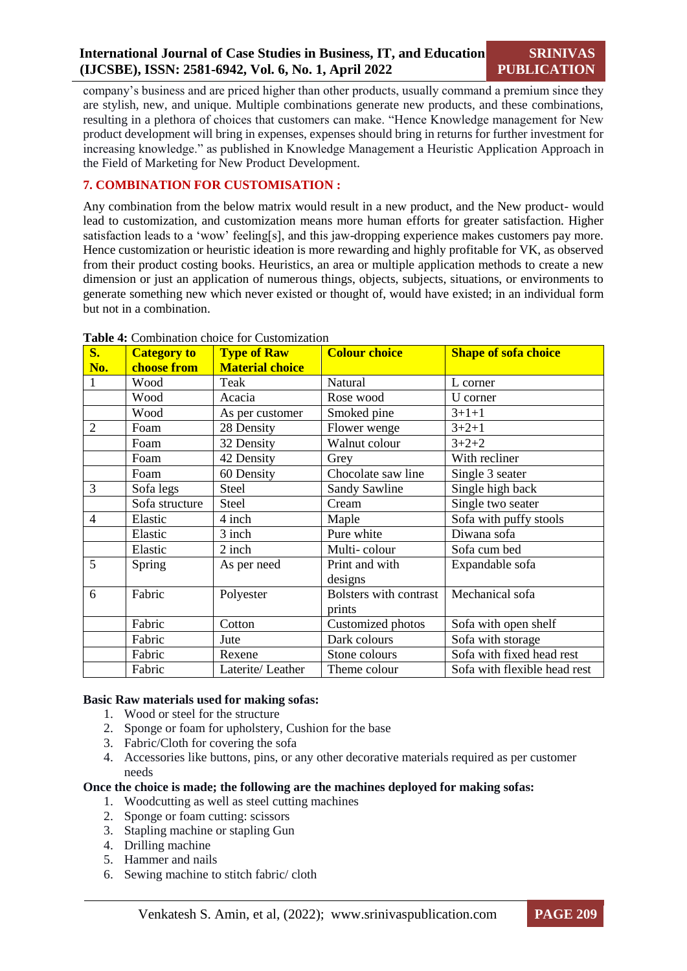**SRINIVAS PUBLICATION**

company's business and are priced higher than other products, usually command a premium since they are stylish, new, and unique. Multiple combinations generate new products, and these combinations, resulting in a plethora of choices that customers can make. "Hence Knowledge management for New product development will bring in expenses, expenses should bring in returns for further investment for increasing knowledge." as published in Knowledge Management a Heuristic Application Approach in the Field of Marketing for New Product Development.

## **7. COMBINATION FOR CUSTOMISATION :**

Any combination from the below matrix would result in a new product, and the New product- would lead to customization, and customization means more human efforts for greater satisfaction. Higher satisfaction leads to a 'wow' feeling[s], and this jaw-dropping experience makes customers pay more. Hence customization or heuristic ideation is more rewarding and highly profitable for VK, as observed from their product costing books. Heuristics, an area or multiple application methods to create a new dimension or just an application of numerous things, objects, subjects, situations, or environments to generate something new which never existed or thought of, would have existed; in an individual form but not in a combination.

| $S_{\bullet}$            | <b>Category to</b> | <b>Type of Raw</b>     | <b>Colour choice</b>                    | <b>Shape of sofa choice</b>  |
|--------------------------|--------------------|------------------------|-----------------------------------------|------------------------------|
| No.                      | choose from        | <b>Material choice</b> |                                         |                              |
|                          | Wood               | Teak                   | Natural                                 | L corner                     |
|                          | Wood               | Acacia                 | Rose wood                               | U corner                     |
|                          | Wood               | As per customer        | Smoked pine                             | $3+1+1$                      |
| $\overline{2}$           | Foam               | 28 Density             | Flower wenge                            | $3 + 2 + 1$                  |
|                          | Foam               | 32 Density             | Walnut colour                           | $3 + 2 + 2$                  |
|                          | Foam               | 42 Density             | Grey                                    | With recliner                |
|                          | Foam               | 60 Density             | Chocolate saw line                      | Single 3 seater              |
| 3                        | Sofa legs          | <b>Steel</b>           | Sandy Sawline                           | Single high back             |
|                          | Sofa structure     | <b>Steel</b>           | Cream                                   | Single two seater            |
| $\overline{\mathcal{A}}$ | Elastic            | 4 inch                 | Maple                                   | Sofa with puffy stools       |
|                          | Elastic            | 3 inch                 | Pure white                              | Diwana sofa                  |
|                          | Elastic            | 2 inch                 | Multi-colour                            | Sofa cum bed                 |
| 5                        | Spring             | As per need            | Print and with<br>designs               | Expandable sofa              |
| 6                        | Fabric             | Polyester              | <b>Bolsters with contrast</b><br>prints | Mechanical sofa              |
|                          | Fabric             | Cotton                 | Customized photos                       | Sofa with open shelf         |
|                          | Fabric             | Jute                   | Dark colours                            | Sofa with storage            |
|                          | Fabric             | Rexene                 | Stone colours                           | Sofa with fixed head rest    |
|                          | Fabric             | Laterite/Leather       | Theme colour                            | Sofa with flexible head rest |

#### **Table 4:** Combination choice for Customization

#### **Basic Raw materials used for making sofas:**

- 1. Wood or steel for the structure
- 2. Sponge or foam for upholstery, Cushion for the base
- 3. Fabric/Cloth for covering the sofa
- 4. Accessories like buttons, pins, or any other decorative materials required as per customer needs

#### **Once the choice is made; the following are the machines deployed for making sofas:**

- 1. Woodcutting as well as steel cutting machines
- 2. Sponge or foam cutting: scissors
- 3. Stapling machine or stapling Gun
- 4. Drilling machine
- 5. Hammer and nails
- 6. Sewing machine to stitch fabric/ cloth

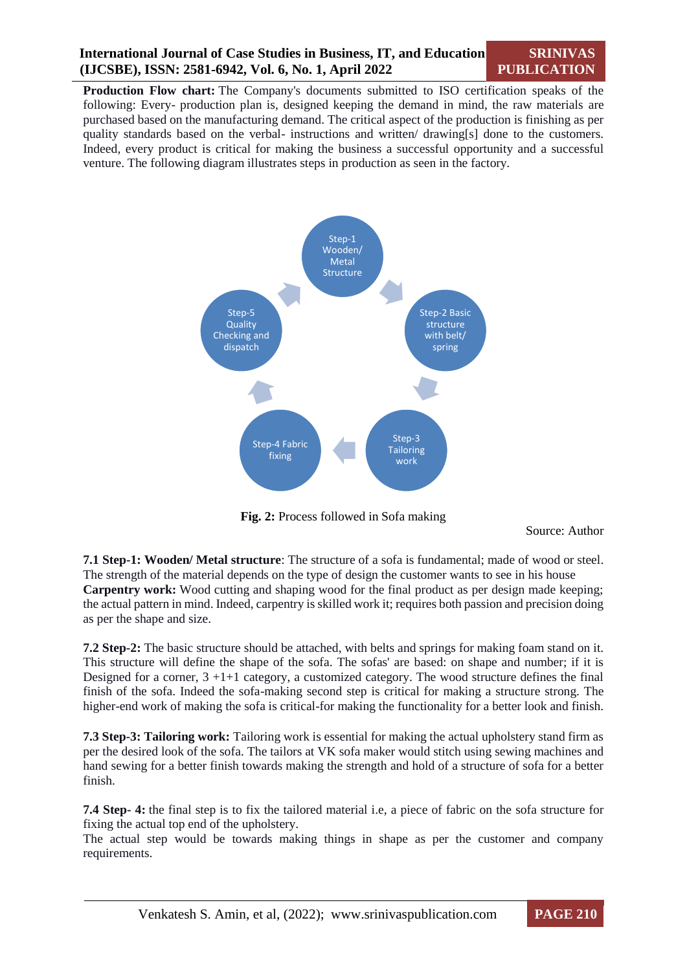**Production Flow chart:** The Company's documents submitted to ISO certification speaks of the following: Every- production plan is, designed keeping the demand in mind, the raw materials are purchased based on the manufacturing demand. The critical aspect of the production is finishing as per quality standards based on the verbal- instructions and written/ drawing[s] done to the customers. Indeed, every product is critical for making the business a successful opportunity and a successful venture. The following diagram illustrates steps in production as seen in the factory.



**Fig. 2:** Process followed in Sofa making

Source: Author

**7.1 Step-1: Wooden/ Metal structure**: The structure of a sofa is fundamental; made of wood or steel. The strength of the material depends on the type of design the customer wants to see in his house **Carpentry work:** Wood cutting and shaping wood for the final product as per design made keeping; the actual pattern in mind. Indeed, carpentry is skilled work it; requires both passion and precision doing as per the shape and size.

**7.2 Step-2:** The basic structure should be attached, with belts and springs for making foam stand on it. This structure will define the shape of the sofa. The sofas' are based: on shape and number; if it is Designed for a corner,  $3 + 1 + 1$  category, a customized category. The wood structure defines the final finish of the sofa. Indeed the sofa-making second step is critical for making a structure strong. The higher-end work of making the sofa is critical-for making the functionality for a better look and finish.

**7.3 Step-3: Tailoring work:** Tailoring work is essential for making the actual upholstery stand firm as per the desired look of the sofa. The tailors at VK sofa maker would stitch using sewing machines and hand sewing for a better finish towards making the strength and hold of a structure of sofa for a better finish.

**7.4 Step- 4:** the final step is to fix the tailored material i.e, a piece of fabric on the sofa structure for fixing the actual top end of the upholstery.

The actual step would be towards making things in shape as per the customer and company requirements.

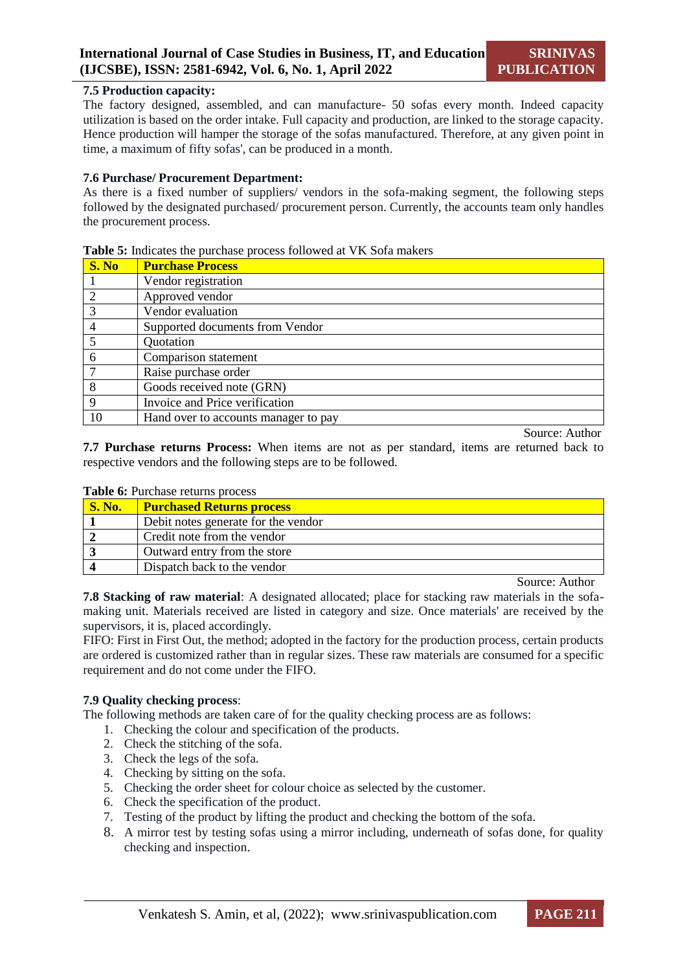#### **7.5 Production capacity:**

The factory designed, assembled, and can manufacture- 50 sofas every month. Indeed capacity utilization is based on the order intake. Full capacity and production, are linked to the storage capacity. Hence production will hamper the storage of the sofas manufactured. Therefore, at any given point in time, a maximum of fifty sofas', can be produced in a month.

#### **7.6 Purchase/ Procurement Department:**

As there is a fixed number of suppliers/ vendors in the sofa-making segment, the following steps followed by the designated purchased/ procurement person. Currently, the accounts team only handles the procurement process.

| S. No          | <b>Purchase Process</b>              |
|----------------|--------------------------------------|
|                | Vendor registration                  |
| $\overline{2}$ | Approved vendor                      |
| 3              | Vendor evaluation                    |
| 4              | Supported documents from Vendor      |
| 5              | Quotation                            |
| 6              | Comparison statement                 |
|                | Raise purchase order                 |
| 8              | Goods received note (GRN)            |
| 9              | Invoice and Price verification       |
| 10             | Hand over to accounts manager to pay |
|                |                                      |

#### **Table 5:** Indicates the purchase process followed at VK Sofa makers

Source: Author

**7.7 Purchase returns Process:** When items are not as per standard, items are returned back to respective vendors and the following steps are to be followed.

| <b>S. No.</b> | <b>Purchased Returns process</b>    |  |  |
|---------------|-------------------------------------|--|--|
|               | Debit notes generate for the vendor |  |  |
|               | Credit note from the vendor         |  |  |
|               | Outward entry from the store        |  |  |
|               | Dispatch back to the vendor         |  |  |
|               | $\sim$                              |  |  |

# **Table 6: Purchase returns process**

Source: Author

**7.8 Stacking of raw material**: A designated allocated; place for stacking raw materials in the sofamaking unit. Materials received are listed in category and size. Once materials' are received by the supervisors, it is, placed accordingly.

FIFO: First in First Out, the method; adopted in the factory for the production process, certain products are ordered is customized rather than in regular sizes. These raw materials are consumed for a specific requirement and do not come under the FIFO.

#### **7.9 Quality checking process**:

The following methods are taken care of for the quality checking process are as follows:

- 1. Checking the colour and specification of the products.
- 2. Check the stitching of the sofa.
- 3. Check the legs of the sofa.
- 4. Checking by sitting on the sofa.
- 5. Checking the order sheet for colour choice as selected by the customer.
- 6. Check the specification of the product.
- 7. Testing of the product by lifting the product and checking the bottom of the sofa.
- 8. A mirror test by testing sofas using a mirror including, underneath of sofas done, for quality checking and inspection.

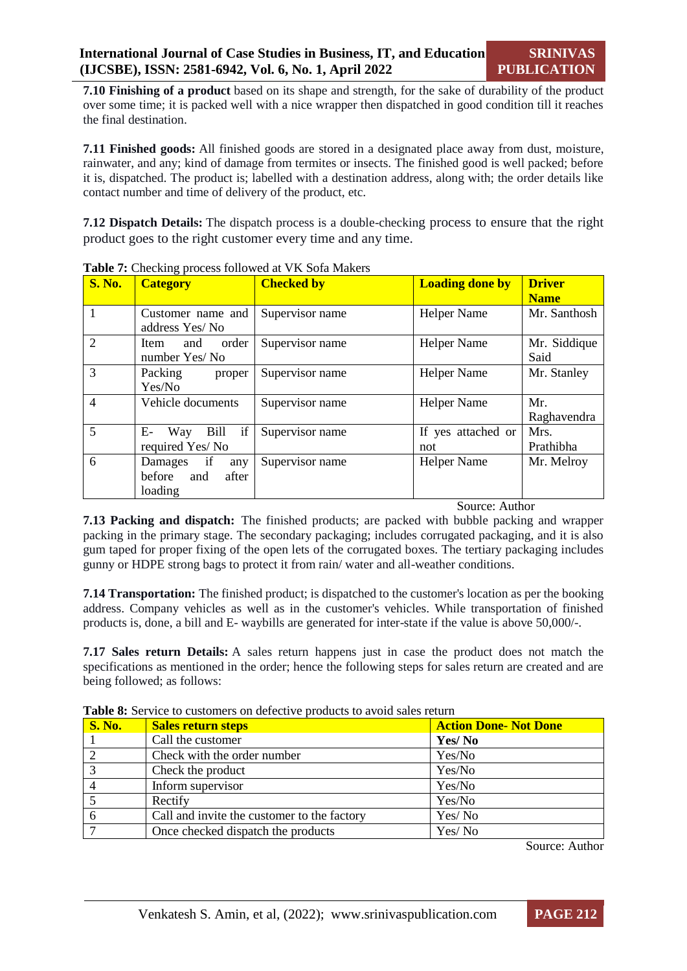**7.10 Finishing of a product** based on its shape and strength, for the sake of durability of the product over some time; it is packed well with a nice wrapper then dispatched in good condition till it reaches the final destination.

**7.11 Finished goods:** All finished goods are stored in a designated place away from dust, moisture, rainwater, and any; kind of damage from termites or insects. The finished good is well packed; before it is, dispatched. The product is; labelled with a destination address, along with; the order details like contact number and time of delivery of the product, etc.

**7.12 Dispatch Details:** The dispatch process is a double-checking process to ensure that the right product goes to the right customer every time and any time.

| <b>S. No.</b>  | <b>Category</b>                                     | <b>Checked by</b> | <b>Loading done by</b>    | <b>Driver</b><br><b>Name</b> |
|----------------|-----------------------------------------------------|-------------------|---------------------------|------------------------------|
|                | Customer name and<br>address Yes/No                 | Supervisor name   | <b>Helper Name</b>        | Mr. Santhosh                 |
| $\overline{2}$ | order<br>Item<br>and<br>number Yes/No               | Supervisor name   | <b>Helper Name</b>        | Mr. Siddique<br>Said         |
| 3              | Packing<br>proper<br>Yes/No                         | Supervisor name   | <b>Helper Name</b>        | Mr. Stanley                  |
| $\overline{4}$ | Vehicle documents                                   | Supervisor name   | <b>Helper Name</b>        | Mr.<br>Raghavendra           |
| 5              | if<br>E-<br>Bill<br>Way<br>required Yes/No          | Supervisor name   | If yes attached or<br>not | Mrs.<br>Prathibha            |
| 6              | Damages if<br>any<br>before and<br>after<br>loading | Supervisor name   | <b>Helper Name</b>        | Mr. Melroy                   |

**Table 7:** Checking process followed at VK Sofa Makers

Source: Author

**7.13 Packing and dispatch:** The finished products; are packed with bubble packing and wrapper packing in the primary stage. The secondary packaging; includes corrugated packaging, and it is also gum taped for proper fixing of the open lets of the corrugated boxes. The tertiary packaging includes gunny or HDPE strong bags to protect it from rain/ water and all-weather conditions.

**7.14 Transportation:** The finished product; is dispatched to the customer's location as per the booking address. Company vehicles as well as in the customer's vehicles. While transportation of finished products is, done, a bill and E- waybills are generated for inter-state if the value is above 50,000/-.

**7.17 Sales return Details:** A sales return happens just in case the product does not match the specifications as mentioned in the order; hence the following steps for sales return are created and are being followed; as follows:

| <b>S. No.</b> | <b>Sales return steps</b>                   | <b>Action Done- Not Done</b> |
|---------------|---------------------------------------------|------------------------------|
|               | Call the customer                           | Yes/No                       |
|               | Check with the order number                 | Yes/No                       |
| $\mathbf{r}$  | Check the product                           | Yes/No                       |
|               | Inform supervisor                           | Yes/No                       |
|               | Rectify                                     | Yes/No                       |
| 6             | Call and invite the customer to the factory | Yes/No                       |
|               | Once checked dispatch the products          | Yes/No                       |

**Table 8:** Service to customers on defective products to avoid sales return

Source: Author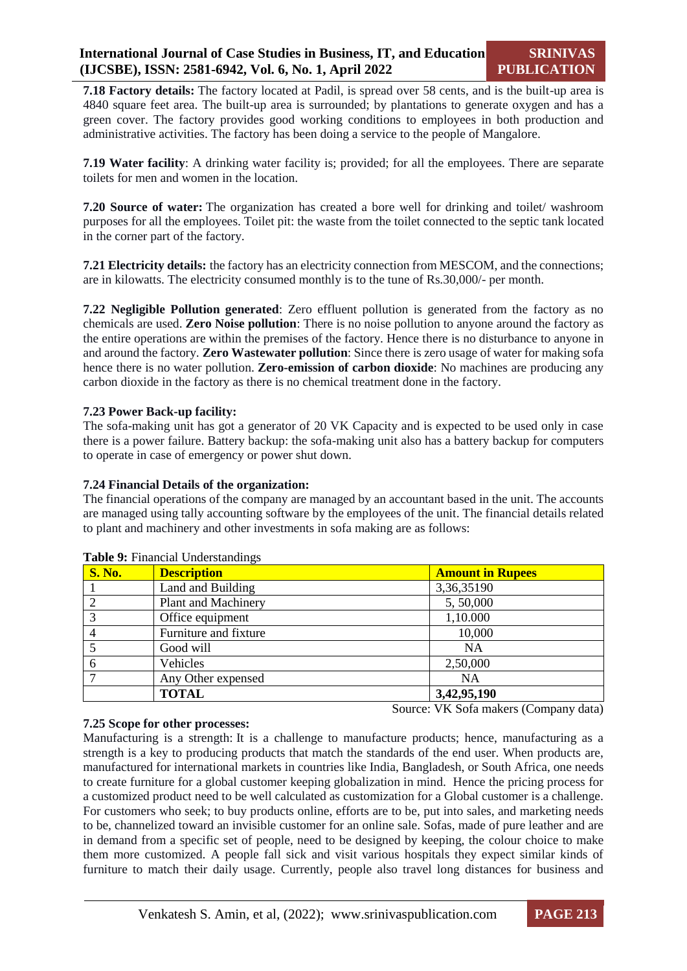**7.18 Factory details:** The factory located at Padil, is spread over 58 cents, and is the built-up area is 4840 square feet area. The built-up area is surrounded; by plantations to generate oxygen and has a green cover. The factory provides good working conditions to employees in both production and administrative activities. The factory has been doing a service to the people of Mangalore.

**7.19 Water facility**: A drinking water facility is; provided; for all the employees. There are separate toilets for men and women in the location.

**7.20 Source of water:** The organization has created a bore well for drinking and toilet/ washroom purposes for all the employees. Toilet pit: the waste from the toilet connected to the septic tank located in the corner part of the factory.

**7.21 Electricity details:** the factory has an electricity connection from MESCOM, and the connections; are in kilowatts. The electricity consumed monthly is to the tune of Rs.30,000/- per month.

**7.22 Negligible Pollution generated**: Zero effluent pollution is generated from the factory as no chemicals are used. **Zero Noise pollution**: There is no noise pollution to anyone around the factory as the entire operations are within the premises of the factory. Hence there is no disturbance to anyone in and around the factory. **Zero Wastewater pollution**: Since there is zero usage of water for making sofa hence there is no water pollution. **Zero-emission of carbon dioxide**: No machines are producing any carbon dioxide in the factory as there is no chemical treatment done in the factory.

#### **7.23 Power Back-up facility:**

The sofa-making unit has got a generator of 20 VK Capacity and is expected to be used only in case there is a power failure. Battery backup: the sofa-making unit also has a battery backup for computers to operate in case of emergency or power shut down.

#### **7.24 Financial Details of the organization:**

The financial operations of the company are managed by an accountant based in the unit. The accounts are managed using tally accounting software by the employees of the unit. The financial details related to plant and machinery and other investments in sofa making are as follows:

| <b>S. No.</b> | <b>Description</b>    | <b>Amount in Rupees</b> |
|---------------|-----------------------|-------------------------|
|               | Land and Building     | 3,36,35190              |
|               | Plant and Machinery   | 5,50,000                |
| 3             | Office equipment      | 1,10.000                |
|               | Furniture and fixture | 10,000                  |
|               | Good will             | NA                      |
| 6             | Vehicles              | 2,50,000                |
|               | Any Other expensed    | <b>NA</b>               |
|               | <b>TOTAL</b>          | 3,42,95,190             |

#### **Table 9:** Financial Understandings

Source: VK Sofa makers (Company data)

#### **7.25 Scope for other processes:**

Manufacturing is a strength: It is a challenge to manufacture products; hence, manufacturing as a strength is a key to producing products that match the standards of the end user. When products are, manufactured for international markets in countries like India, Bangladesh, or South Africa, one needs to create furniture for a global customer keeping globalization in mind. Hence the pricing process for a customized product need to be well calculated as customization for a Global customer is a challenge. For customers who seek; to buy products online, efforts are to be, put into sales, and marketing needs to be, channelized toward an invisible customer for an online sale. Sofas, made of pure leather and are in demand from a specific set of people, need to be designed by keeping, the colour choice to make them more customized. A people fall sick and visit various hospitals they expect similar kinds of furniture to match their daily usage. Currently, people also travel long distances for business and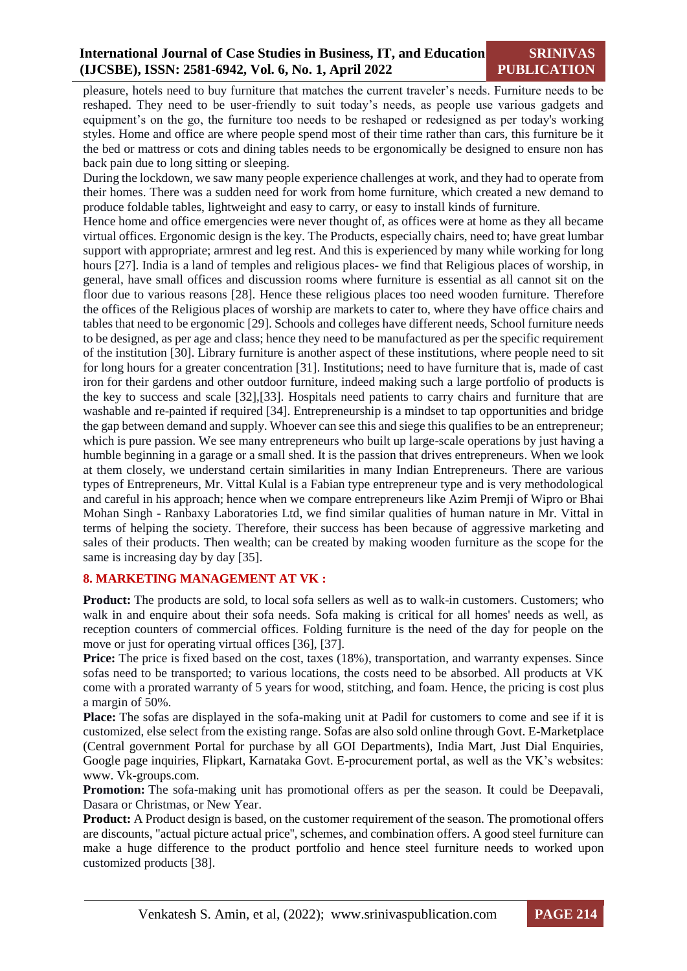pleasure, hotels need to buy furniture that matches the current traveler's needs. Furniture needs to be reshaped. They need to be user-friendly to suit today's needs, as people use various gadgets and equipment's on the go, the furniture too needs to be reshaped or redesigned as per today's working styles. Home and office are where people spend most of their time rather than cars, this furniture be it the bed or mattress or cots and dining tables needs to be ergonomically be designed to ensure non has back pain due to long sitting or sleeping.

During the lockdown, we saw many people experience challenges at work, and they had to operate from their homes. There was a sudden need for work from home furniture, which created a new demand to produce foldable tables, lightweight and easy to carry, or easy to install kinds of furniture.

Hence home and office emergencies were never thought of, as offices were at home as they all became virtual offices. Ergonomic design is the key. The Products, especially chairs, need to; have great lumbar support with appropriate; armrest and leg rest. And this is experienced by many while working for long hours [27]. India is a land of temples and religious places- we find that Religious places of worship, in general, have small offices and discussion rooms where furniture is essential as all cannot sit on the floor due to various reasons [28]. Hence these religious places too need wooden furniture. Therefore the offices of the Religious places of worship are markets to cater to, where they have office chairs and tables that need to be ergonomic [29]. Schools and colleges have different needs, School furniture needs to be designed, as per age and class; hence they need to be manufactured as per the specific requirement of the institution [30]. Library furniture is another aspect of these institutions, where people need to sit for long hours for a greater concentration [31]. Institutions; need to have furniture that is, made of cast iron for their gardens and other outdoor furniture, indeed making such a large portfolio of products is the key to success and scale [32],[33]. Hospitals need patients to carry chairs and furniture that are washable and re-painted if required [34]. Entrepreneurship is a mindset to tap opportunities and bridge the gap between demand and supply. Whoever can see this and siege this qualifies to be an entrepreneur; which is pure passion. We see many entrepreneurs who built up large-scale operations by just having a humble beginning in a garage or a small shed. It is the passion that drives entrepreneurs. When we look at them closely, we understand certain similarities in many Indian Entrepreneurs. There are various types of Entrepreneurs, Mr. Vittal Kulal is a Fabian type entrepreneur type and is very methodological and careful in his approach; hence when we compare entrepreneurs like Azim Premji of Wipro or Bhai Mohan Singh - Ranbaxy Laboratories Ltd, we find similar qualities of human nature in Mr. Vittal in terms of helping the society. Therefore, their success has been because of aggressive marketing and sales of their products. Then wealth; can be created by making wooden furniture as the scope for the same is increasing day by day [35].

# **8. MARKETING MANAGEMENT AT VK :**

**Product:** The products are sold, to local sofa sellers as well as to walk-in customers. Customers; who walk in and enquire about their sofa needs. Sofa making is critical for all homes' needs as well, as reception counters of commercial offices. Folding furniture is the need of the day for people on the move or just for operating virtual offices [36], [37].

**Price:** The price is fixed based on the cost, taxes (18%), transportation, and warranty expenses. Since sofas need to be transported; to various locations, the costs need to be absorbed. All products at VK come with a prorated warranty of 5 years for wood, stitching, and foam. Hence, the pricing is cost plus a margin of 50%.

**Place:** The sofas are displayed in the sofa-making unit at Padil for customers to come and see if it is customized, else select from the existing range. Sofas are also sold online through Govt. E-Marketplace (Central government Portal for purchase by all GOI Departments), India Mart, Just Dial Enquiries, Google page inquiries, Flipkart, Karnataka Govt. E-procurement portal, as well as the VK's websites: www. Vk-groups.com.

**Promotion:** The sofa-making unit has promotional offers as per the season. It could be Deepavali, Dasara or Christmas, or New Year.

**Product:** A Product design is based, on the customer requirement of the season. The promotional offers are discounts, "actual picture actual price'', schemes, and combination offers. A good steel furniture can make a huge difference to the product portfolio and hence steel furniture needs to worked upon customized products [38].

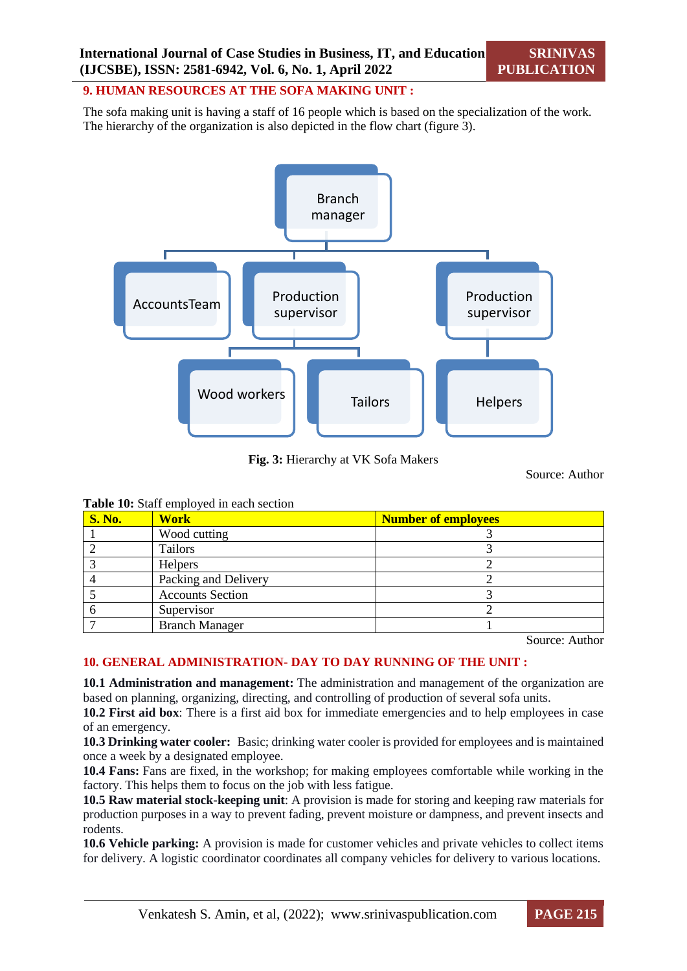#### **9. HUMAN RESOURCES AT THE SOFA MAKING UNIT :**

The sofa making unit is having a staff of 16 people which is based on the specialization of the work. The hierarchy of the organization is also depicted in the flow chart (figure 3).



**Fig. 3:** Hierarchy at VK Sofa Makers

Source: Author

**Table 10:** Staff employed in each section

| <b>S. No.</b> | <b>Work</b>             | <b>Number of employees</b> |
|---------------|-------------------------|----------------------------|
|               | Wood cutting            |                            |
|               | Tailors                 |                            |
|               | Helpers                 |                            |
|               | Packing and Delivery    |                            |
|               | <b>Accounts Section</b> |                            |
|               | Supervisor              |                            |
|               | <b>Branch Manager</b>   |                            |

Source: Author

# **10. GENERAL ADMINISTRATION- DAY TO DAY RUNNING OF THE UNIT :**

**10.1 Administration and management:** The administration and management of the organization are based on planning, organizing, directing, and controlling of production of several sofa units.

**10.2 First aid box**: There is a first aid box for immediate emergencies and to help employees in case of an emergency.

**10.3 Drinking water cooler:** Basic; drinking water cooler is provided for employees and is maintained once a week by a designated employee.

**10.4 Fans:** Fans are fixed, in the workshop; for making employees comfortable while working in the factory. This helps them to focus on the job with less fatigue.

**10.5 Raw material stock-keeping unit**: A provision is made for storing and keeping raw materials for production purposes in a way to prevent fading, prevent moisture or dampness, and prevent insects and rodents.

**10.6 Vehicle parking:** A provision is made for customer vehicles and private vehicles to collect items for delivery. A logistic coordinator coordinates all company vehicles for delivery to various locations.

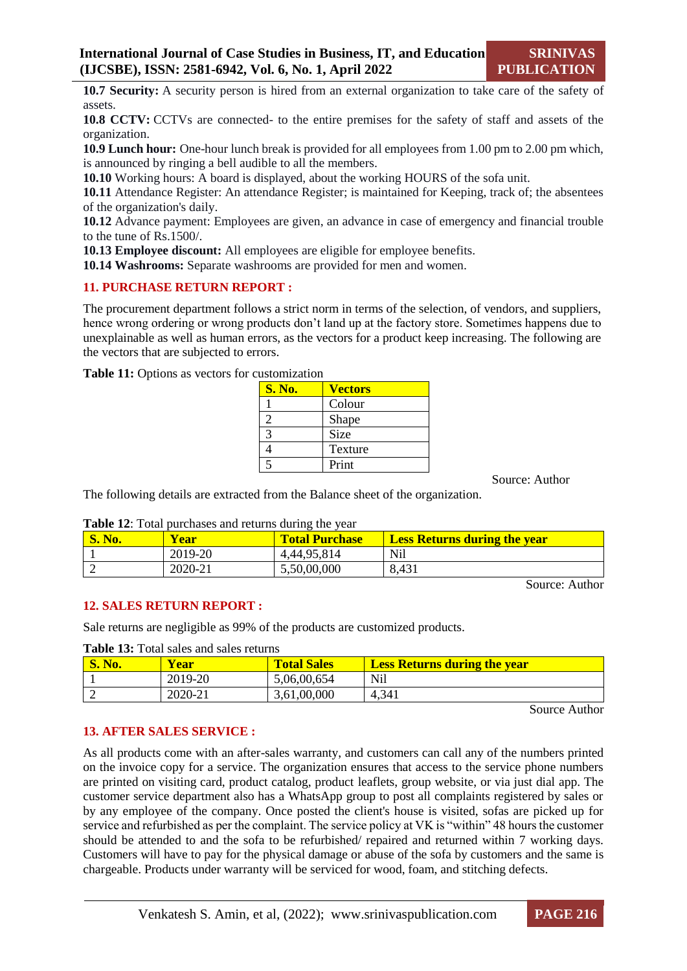**10.7 Security:** A security person is hired from an external organization to take care of the safety of assets.

**10.8 CCTV:** CCTVs are connected- to the entire premises for the safety of staff and assets of the organization.

**10.9 Lunch hour:** One-hour lunch break is provided for all employees from 1.00 pm to 2.00 pm which, is announced by ringing a bell audible to all the members.

**10.10** Working hours: A board is displayed, about the working HOURS of the sofa unit.

**10.11** Attendance Register: An attendance Register; is maintained for Keeping, track of; the absentees of the organization's daily.

**10.12** Advance payment: Employees are given, an advance in case of emergency and financial trouble to the tune of Rs.1500/.

**10.13 Employee discount:** All employees are eligible for employee benefits.

**10.14 Washrooms:** Separate washrooms are provided for men and women.

# **11. PURCHASE RETURN REPORT :**

The procurement department follows a strict norm in terms of the selection, of vendors, and suppliers, hence wrong ordering or wrong products don't land up at the factory store. Sometimes happens due to unexplainable as well as human errors, as the vectors for a product keep increasing. The following are the vectors that are subjected to errors.

| <b>S. No.</b> | <b>Vectors</b> |
|---------------|----------------|
|               | Colour         |
|               | Shape          |
|               | <b>Size</b>    |
|               | Texture        |
|               | Print          |

**Table 11:** Options as vectors for customization

Source: Author

The following details are extracted from the Balance sheet of the organization.

|  |  | Table 12: Total purchases and returns during the year |
|--|--|-------------------------------------------------------|
|--|--|-------------------------------------------------------|

| No. | <b>Vear</b> | <b>Total Purchase</b> | <b>Less Returns during the year</b> |
|-----|-------------|-----------------------|-------------------------------------|
|     | 2019-20     | 4,44,95,814           | <b>Nil</b>                          |
|     | 2020-21     | 5,50,00,000           | 8,431                               |

Source: Author

#### **12. SALES RETURN REPORT :**

Sale returns are negligible as 99% of the products are customized products.

**Table 13:** Total sales and sales returns

| <b>S. No.</b> | <b>Year</b> | <b>Total Sales</b> | <b>Less Returns during the year</b> |
|---------------|-------------|--------------------|-------------------------------------|
|               | 2019-20     | 5,06,00,654        | Nil                                 |
|               | 2020-21     | 3,61,00,000        | 4,341                               |

Source Author

#### **13. AFTER SALES SERVICE :**

As all products come with an after-sales warranty, and customers can call any of the numbers printed on the invoice copy for a service. The organization ensures that access to the service phone numbers are printed on visiting card, product catalog, product leaflets, group website, or via just dial app. The customer service department also has a WhatsApp group to post all complaints registered by sales or by any employee of the company. Once posted the client's house is visited, sofas are picked up for service and refurbished as per the complaint. The service policy at VK is "within" 48 hours the customer should be attended to and the sofa to be refurbished/ repaired and returned within 7 working days. Customers will have to pay for the physical damage or abuse of the sofa by customers and the same is chargeable. Products under warranty will be serviced for wood, foam, and stitching defects.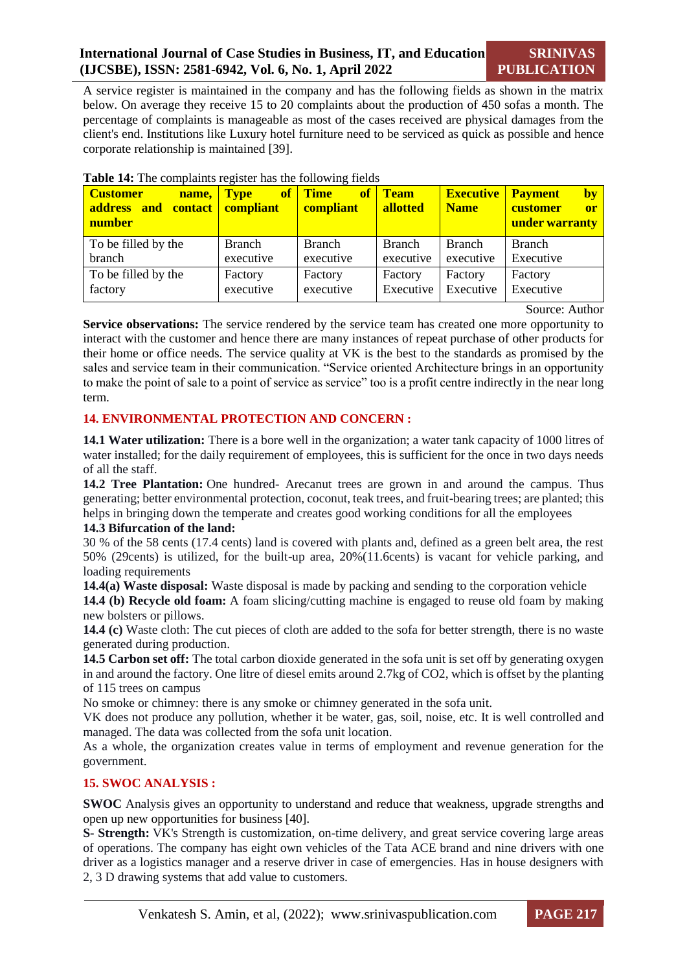# **International Journal of Case Studies in Business, IT, and Education (IJCSBE), ISSN: 2581-6942, Vol. 6, No. 1, April 2022**

A service register is maintained in the company and has the following fields as shown in the matrix below. On average they receive 15 to 20 complaints about the production of 450 sofas a month. The percentage of complaints is manageable as most of the cases received are physical damages from the client's end. Institutions like Luxury hotel furniture need to be serviced as quick as possible and hence corporate relationship is maintained [39].

| <b>Customer</b><br>name,<br>address and contact compliant<br>number | <b>Type</b>   | of Time<br>compliant | of Team<br><b>allotted</b> | <b>Executive</b><br><b>Name</b> | <b>Payment</b><br>by<br>customer<br>or<br>under warranty |
|---------------------------------------------------------------------|---------------|----------------------|----------------------------|---------------------------------|----------------------------------------------------------|
| To be filled by the                                                 | <b>Branch</b> | <b>Branch</b>        | <b>Branch</b>              | <b>Branch</b>                   | <b>Branch</b>                                            |
| branch                                                              | executive     | executive            | executive                  | executive                       | Executive                                                |
| To be filled by the                                                 | Factory       | Factory              | Factory                    | Factory                         | Factory                                                  |
| factory                                                             | executive     | executive            | Executive                  | Executive                       | Executive                                                |

Source: Author

**Service observations:** The service rendered by the service team has created one more opportunity to interact with the customer and hence there are many instances of repeat purchase of other products for their home or office needs. The service quality at VK is the best to the standards as promised by the sales and service team in their communication. "Service oriented Architecture brings in an opportunity to make the point of sale to a point of service as service" too is a profit centre indirectly in the near long term.

# **14. ENVIRONMENTAL PROTECTION AND CONCERN :**

**14.1 Water utilization:** There is a bore well in the organization; a water tank capacity of 1000 litres of water installed; for the daily requirement of employees, this is sufficient for the once in two days needs of all the staff.

**14.2 Tree Plantation:** One hundred- Arecanut trees are grown in and around the campus. Thus generating; better environmental protection, coconut, teak trees, and fruit-bearing trees; are planted; this helps in bringing down the temperate and creates good working conditions for all the employees

#### **14.3 Bifurcation of the land:**

30 % of the 58 cents (17.4 cents) land is covered with plants and, defined as a green belt area, the rest 50% (29cents) is utilized, for the built-up area, 20%(11.6cents) is vacant for vehicle parking, and loading requirements

**14.4(a) Waste disposal:** Waste disposal is made by packing and sending to the corporation vehicle

**14.4 (b) Recycle old foam:** A foam slicing/cutting machine is engaged to reuse old foam by making new bolsters or pillows.

**14.4 (c)** Waste cloth: The cut pieces of cloth are added to the sofa for better strength, there is no waste generated during production.

**14.5 Carbon set off:** The total carbon dioxide generated in the sofa unit is set off by generating oxygen in and around the factory. One litre of diesel emits around 2.7kg of CO2, which is offset by the planting of 115 trees on campus

No smoke or chimney: there is any smoke or chimney generated in the sofa unit.

VK does not produce any pollution, whether it be water, gas, soil, noise, etc. It is well controlled and managed. The data was collected from the sofa unit location.

As a whole, the organization creates value in terms of employment and revenue generation for the government.

# **15. SWOC ANALYSIS :**

**SWOC** Analysis gives an opportunity to understand and reduce that weakness, upgrade strengths and open up new opportunities for business [40].

**S- Strength:** VK's Strength is customization, on-time delivery, and great service covering large areas of operations. The company has eight own vehicles of the Tata ACE brand and nine drivers with one driver as a logistics manager and a reserve driver in case of emergencies. Has in house designers with 2, 3 D drawing systems that add value to customers.

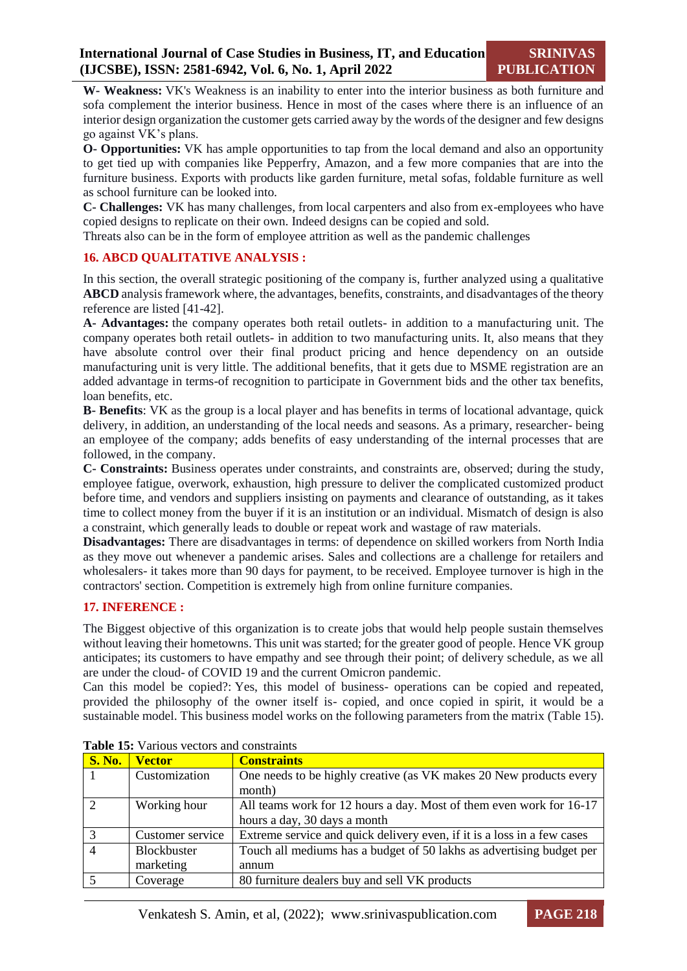**W- Weakness:** VK's Weakness is an inability to enter into the interior business as both furniture and sofa complement the interior business. Hence in most of the cases where there is an influence of an interior design organization the customer gets carried away by the words of the designer and few designs go against VK's plans.

**O- Opportunities:** VK has ample opportunities to tap from the local demand and also an opportunity to get tied up with companies like Pepperfry, Amazon, and a few more companies that are into the furniture business. Exports with products like garden furniture, metal sofas, foldable furniture as well as school furniture can be looked into.

**C- Challenges:** VK has many challenges, from local carpenters and also from ex-employees who have copied designs to replicate on their own. Indeed designs can be copied and sold.

Threats also can be in the form of employee attrition as well as the pandemic challenges

#### **16. ABCD QUALITATIVE ANALYSIS :**

In this section, the overall strategic positioning of the company is, further analyzed using a qualitative **ABCD** analysis framework where, the advantages, benefits, constraints, and disadvantages of the theory reference are listed [41-42].

**A- Advantages:** the company operates both retail outlets- in addition to a manufacturing unit. The company operates both retail outlets- in addition to two manufacturing units. It, also means that they have absolute control over their final product pricing and hence dependency on an outside manufacturing unit is very little. The additional benefits, that it gets due to MSME registration are an added advantage in terms-of recognition to participate in Government bids and the other tax benefits, loan benefits, etc.

**B- Benefits**: VK as the group is a local player and has benefits in terms of locational advantage, quick delivery, in addition, an understanding of the local needs and seasons. As a primary, researcher- being an employee of the company; adds benefits of easy understanding of the internal processes that are followed, in the company.

**C- Constraints:** Business operates under constraints, and constraints are, observed; during the study, employee fatigue, overwork, exhaustion, high pressure to deliver the complicated customized product before time, and vendors and suppliers insisting on payments and clearance of outstanding, as it takes time to collect money from the buyer if it is an institution or an individual. Mismatch of design is also a constraint, which generally leads to double or repeat work and wastage of raw materials.

**Disadvantages:** There are disadvantages in terms: of dependence on skilled workers from North India as they move out whenever a pandemic arises. Sales and collections are a challenge for retailers and wholesalers- it takes more than 90 days for payment, to be received. Employee turnover is high in the contractors' section. Competition is extremely high from online furniture companies.

# **17. INFERENCE :**

The Biggest objective of this organization is to create jobs that would help people sustain themselves without leaving their hometowns. This unit was started; for the greater good of people. Hence VK group anticipates; its customers to have empathy and see through their point; of delivery schedule, as we all are under the cloud- of COVID 19 and the current Omicron pandemic.

Can this model be copied?: Yes, this model of business- operations can be copied and repeated, provided the philosophy of the owner itself is- copied, and once copied in spirit, it would be a sustainable model. This business model works on the following parameters from the matrix (Table 15).

| <b>S. No.</b>  | <b>Vector</b>    | <b>Constraints</b>                                                      |
|----------------|------------------|-------------------------------------------------------------------------|
|                | Customization    | One needs to be highly creative (as VK makes 20 New products every      |
|                |                  | month)                                                                  |
| $\overline{2}$ | Working hour     | All teams work for 12 hours a day. Most of them even work for 16-17     |
|                |                  | hours a day, 30 days a month                                            |
| $\overline{3}$ | Customer service | Extreme service and quick delivery even, if it is a loss in a few cases |
| $\overline{4}$ | Blockbuster      | Touch all mediums has a budget of 50 lakhs as advertising budget per    |
|                | marketing        | annum                                                                   |
|                | Coverage         | 80 furniture dealers buy and sell VK products                           |

**Table 15:** Various vectors and constraints

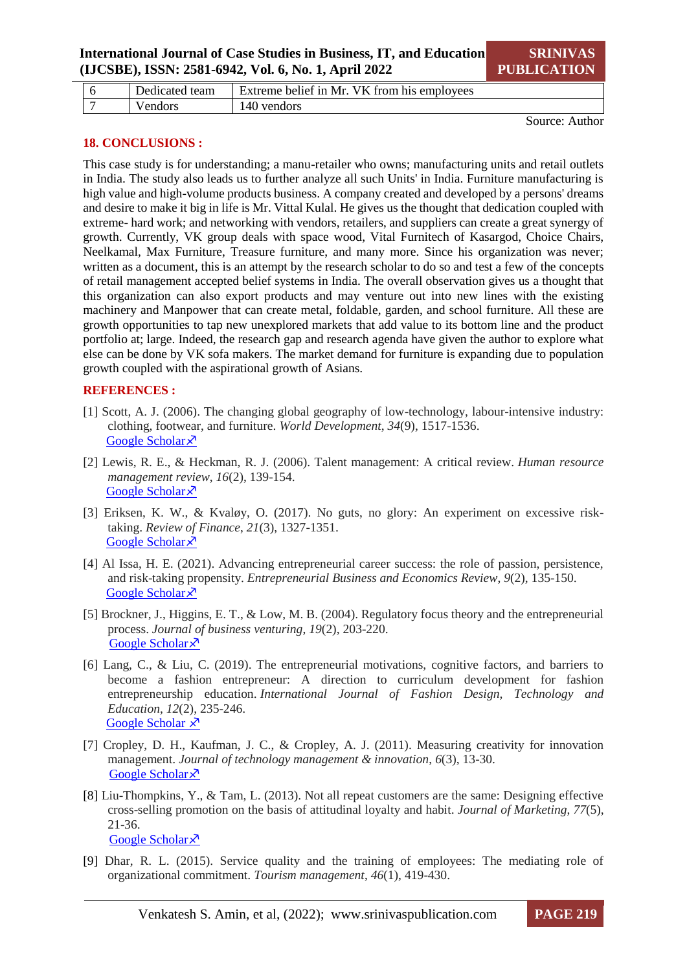|  | team<br>Jedicated | VK from his employees<br>` heliet in Mr<br>Extreme |
|--|-------------------|----------------------------------------------------|
|  | 'endors           | vendors<br>'46                                     |

Source: Author

## **18. CONCLUSIONS :**

This case study is for understanding; a manu-retailer who owns; manufacturing units and retail outlets in India. The study also leads us to further analyze all such Units' in India. Furniture manufacturing is high value and high-volume products business. A company created and developed by a persons' dreams and desire to make it big in life is Mr. Vittal Kulal. He gives us the thought that dedication coupled with extreme- hard work; and networking with vendors, retailers, and suppliers can create a great synergy of growth. Currently, VK group deals with space wood, Vital Furnitech of Kasargod, Choice Chairs, Neelkamal, Max Furniture, Treasure furniture, and many more. Since his organization was never; written as a document, this is an attempt by the research scholar to do so and test a few of the concepts of retail management accepted belief systems in India. The overall observation gives us a thought that this organization can also export products and may venture out into new lines with the existing machinery and Manpower that can create metal, foldable, garden, and school furniture. All these are growth opportunities to tap new unexplored markets that add value to its bottom line and the product portfolio at; large. Indeed, the research gap and research agenda have given the author to explore what else can be done by VK sofa makers. The market demand for furniture is expanding due to population growth coupled with the aspirational growth of Asians.

#### **REFERENCES :**

- [1] Scott, A. J. (2006). The changing global geography of low-technology, labour-intensive industry: clothing, footwear, and furniture. *World Development*, *34*(9), 1517-1536. [Google Scholar](https://scholar.google.com/scholar?hl=en&as_sdt=0%2C5&q=enterprising+skill+in+furniture&btnG=#:~:text=Scott%2C%20A.%20J.%20(2006).%20The%20changing%20global%20geography%20of%20low%2Dtechnology%2C%20labor%2Dintensive%20industry%3A%20clothing%2C%20footwear%2C%20and%20furniture.%20World%20Development%2C%2034(9)%2C%201517%2D1536.) ×
- [2] Lewis, R. E., & Heckman, R. J. (2006). Talent management: A critical review. *Human resource management review*, *16*(2), 139-154. [Google Scholar](https://scholar.google.com/scholar?hl=en&as_sdt=0%2C5&q=enterprising+skill+are+inheretent&btnG=#:~:text=Lewis%2C%20R.%20E.%2C%20%26%20Heckman%2C%20R.%20J.%20(2006).%20Talent%20management%3A%20A%20critical%20review.%20Human%20resource%20management%20review%2C%2016(2)%2C%20139%2D154.)<sup> $\lambda$ </sup>
- [3] Eriksen, K. W., & Kvaløy, O. (2017). No guts, no glory: An experiment on excessive risktaking. *Review of Finance*, *21*(3), 1327-1351. [Google Scholar](https://scholar.google.com/scholar?hl=en&as_sdt=0%2C5&q=no+guts+no+glory+in+entrepreneurship&btnG=#:~:text=Eriksen%2C%20K.%20W.%2C%20%26%20Kval%C3%B8y%2C%20O.%20(2017).%20No%20guts%2C%20no%20glory%3A%20An%20experiment%20on%20excessive%20risk%2Dtaking.%20Review%20of%20Finance%2C%2021(3)%2C%201327%2D1351.) ×
- [4] Al Issa, H. E. (2021). Advancing entrepreneurial career success: the role of passion, persistence, and risk-taking propensity. *Entrepreneurial Business and Economics Review*, *9*(2), 135-150. [Google Scholar](https://scholar.google.com/scholar?hl=en&as_sdt=0%2C5&q=risk+taking+in+business+is+passion+&btnG=#:~:text=Al%20Issa%2C%20H.%20E.%20(2021).%20Advancing%20entrepreneurial%20career%20success%3A%20the%20role%20of%20passion%2C%20persistence%2C%20and%20risk%2Dtaking%20propensity.%20Entrepreneurial%20Business%20and%20Economics%20Review%2C%209(2)%2C%20135%2D1) ×
- [5] Brockner, J., Higgins, E. T., & Low, M. B. (2004). Regulatory focus theory and the entrepreneurial process. *Journal of business venturing*, *19*(2), 203-220. [Google Scholar](https://scholar.google.com/scholar?hl=en&as_sdt=0%2C5&q=entreprenuer+should+never+loose+focus&btnG=#:~:text=Brockner%2C%20J.%2C%20Higgins%2C%20E.%20T.%2C%20%26%20Low%2C%20M.%20B.%20(2004).%20Regulatory%20focus%20theory%20and%20the%20entrepreneurial%20process.%20Journal%20of%20business%20venturing%2C%2019(2)%2C%20203%2D220.) ×
- [6] Lang, C., & Liu, C. (2019). The entrepreneurial motivations, cognitive factors, and barriers to become a fashion entrepreneur: A direction to curriculum development for fashion entrepreneurship education. *International Journal of Fashion Design, Technology and Education*, *12*(2), 235-246. [Google Scholar](https://scholar.google.com/scholar?hl=en&as_sdt=0%2C5&q=changing+demand%2C+fashion+and+style+products+entrepreneurship&oq=changing+demand%2C+fashion+and+style+products+entreper#:~:text=Lang%2C%20C.%2C%20%26%20Liu%2C%20C.%20(2019).%20The%20entrepreneurial%20motivations%2C%20cognitive%20factors%2C%20and%20barriers%20to%20become%20a%20fashion%20entrepreneur%3A%20A%20direction%20to%20curriculum%20development%20for%20fashion%20entrep)  $\lambda$
- [7] Cropley, D. H., Kaufman, J. C., & Cropley, A. J. (2011). Measuring creativity for innovation management. *Journal of technology management & innovation*, *6*(3), 13-30. [Google Scholar](https://scholar.google.com/scholar?hl=en&as_sdt=0%2C5&q=creativity+and+innovation+is+the+key&oq=creativity+and+#:~:text=Cropley%2C%20D.%20H.%2C%20Kaufman%2C%20J.%20C.%2C%20%26%20Cropley%2C%20A.%20J.%20(2011).%20Measuring%20creativity%20for%20innovation%20management.%20Journal%20of%20technology%20management%20%26%20innovation%2C%206(3)%2C%2013%2D30.) ×
- [8] Liu-Thompkins, Y., & Tam, L. (2013). Not all repeat customers are the same: Designing effective cross-selling promotion on the basis of attitudinal loyalty and habit. *Journal of Marketing*, *77*(5), 21-36. [Google Scholar](https://scholar.google.com/scholar?hl=en&as_sdt=0%2C5&q=repeat+customers&btnG=#:~:text=Liu%2DThompkins%2C%20Y.%2C%20%26%20Tam%2C%20L.%20(2013).%20Not%20all%20repeat%20customers%20are%20the%20same%3A%20Designing%20effective%20cross%2Dselling%20promotion%20on%20the%20basis%20of%20attitudinal%20loyalty%20and%20habit.%20Journal%20of%20M) ×
- [9] Dhar, R. L. (2015). Service quality and the training of employees: The mediating role of organizational commitment. *Tourism management*, *46*(1), 419-430.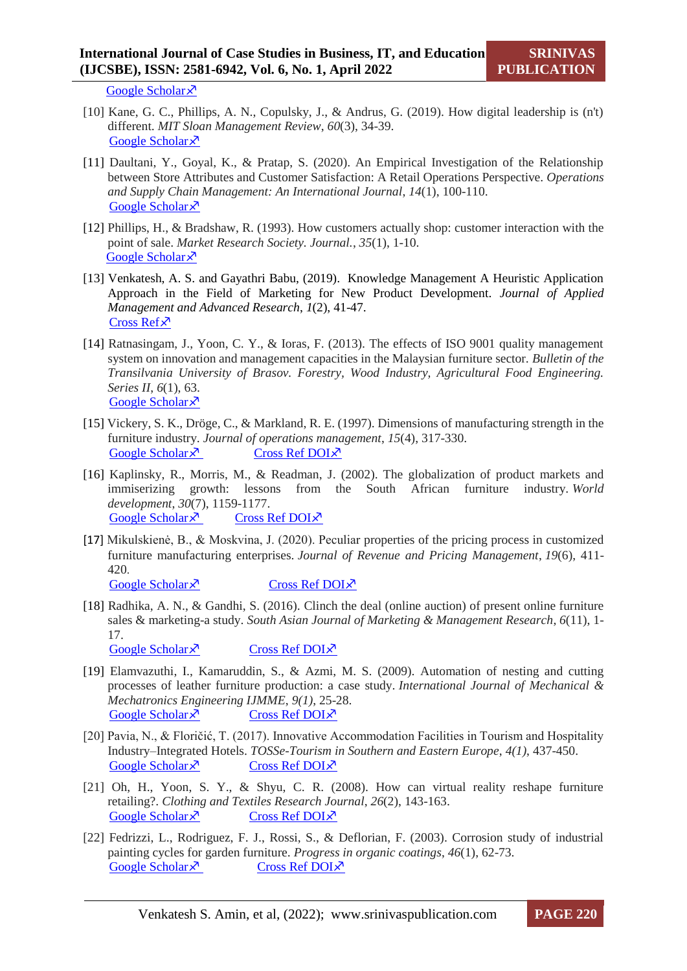[Google Scholar](https://scholar.google.com/scholar?hl=en&as_sdt=0%2C5&q=training+of+employees+&btnG=#:~:text=Dhar%2C%20R.%20L.%20(2015).%20Service%20quality%20and%20the%20training%20of%20employees%3A%20The%20mediating%20role%20of%20organizational%20commitment.%20Tourism%20management%2C%2046%2C%20419%2D430.)<sup> $\lambda$ </sup>

- [10] Kane, G. C., Phillips, A. N., Copulsky, J., & Andrus, G. (2019). How digital leadership is (n't) different. *MIT Sloan Management Review*, *60*(3), 34-39. [Google Scholar](https://scholar.google.com/scholar?hl=en&as_sdt=0%2C5&q=DIGITAL+LEADERSHI%5BP&btnG=#:~:text=Kane%2C%20G.%20C.%2C%20Phillips%2C%20A.%20N.%2C%20Copulsky%2C%20J.%2C%20%26%20Andrus%2C%20G.%20(2019).%20How%20digital%20leadership%20is%20(n%27t)%20different.%20MIT%20Sloan%20Management%20Review%2C%2060(3)%2C%2034%2D39.) ×
- [11] Daultani, Y., Goyal, K., & Pratap, S. (2020). An Empirical Investigation of the Relationship between Store Attributes and Customer Satisfaction: A Retail Operations Perspective. *Operations and Supply Chain Management: An International Journal*, *14*(1), 100-110. [Google Scholar](https://scholar.google.com/scholar?hl=en&as_sdt=0%2C5&q=Analysing+the+relationship+between+store+attributes+and+satisfaction&btnG=#:~:text=Daultani%2C%20Y.%2C%20Goyal%2C%20K.%2C%20%26%20Pratap%2C%20S.%20(2020).%20An%20Empirical%20Investigation%20of%20the%20Relationship%20between%20Store%20Attributes%20and%20Customer%20Satisfaction%3A%20A%20Retail%20Operations%20Perspective.%20Operati) ×
- [12] Phillips, H., & Bradshaw, R. (1993). How customers actually shop: customer interaction with the point of sale. *Market Research Society. Journal.*, *35*(1), 1-10. [Google Scholar](https://journals.sagepub.com/doi/pdf/10.1177/147078539303500104) ×
- [13] Venkatesh, A. S. and Gayathri Babu, (2019). Knowledge Management A Heuristic Application Approach in the Field of Marketing for New Product Development. *Journal of Applied Management and Advanced Research*, *1*(2), 41-47. [Cross Ref](https://doi.org/10.34047/jamar.2019.v01i02.005)<sup> $x$ </sup>
- [14] Ratnasingam, J., Yoon, C. Y., & Ioras, F. (2013). The effects of ISO 9001 quality management system on innovation and management capacities in the Malaysian furniture sector. *Bulletin of the Transilvania University of Brasov. Forestry, Wood Industry, Agricultural Food Engineering. Series II*, *6*(1), 63. [Google Scholar](https://scholar.google.com/scholar?hl=en&as_sdt=0%2C5&q=quality+management+system+in+furniture&btnG=#:~:text=Ratnasingam%2C%20J.%2C%20Yoon,6(1)%2C%2063.) ×
- [15] Vickery, S. K., Dröge, C., & Markland, R. E. (1997). Dimensions of manufacturing strength in the furniture industry. *Journal of operations management*, *15*(4), 317-330. [Google Scholar](https://scholar.google.com/scholar?hl=en&as_sdt=0%2C5&q=furniture+industry&btnG=#:~:text=Vickery%2C%20S.%20K.%2C%20Dr%C3%B6ge%2C%20C.%2C%20%26%20Markland%2C%20R.%20E.%20(1997).%20Dimensions%20of%20manufacturing%20strength%20in%20the%20furniture%20industry.%20Journal%20of%20operations%20management%2C%2015(4)%2C%20317%2D330.)  $\lambda$  [Cross Ref DOI](https://doi.org/10.1016/s0272-6963(97)00012-0) $\lambda$
- [16] Kaplinsky, R., Morris, M., & Readman, J. (2002). The globalization of product markets and immiserizing growth: lessons from the South African furniture industry. *World development*, *30*(7), 1159-1177. [Google Scholar](https://scholar.google.com/scholar?hl=en&as_sdt=0%2C5&q=furniture+industry&btnG=#:~:text=Kaplinsky%2C%20R.%2C%20Morris%2C%20M.%2C%20%26%20Readman%2C%20J.%20(2002).%20The%20globalization%20of%20product%20markets%20and%20immiserizing%20growth%3A%20lessons%20from%20the%20South%20African%20furniture%20industry.%20World%20development%2C%20)  $\times$  [Cross Ref DOI](https://doi.org/10.1016/s0305-750x(02)00029-3) $\times$
- [17] Mikulskienė, B., & Moskvina, J. (2020). Peculiar properties of the pricing process in customized furniture manufacturing enterprises. *Journal of Revenue and Pricing Management*, *19*(6), 411- 420. [Google Scholar](https://scholar.google.com/scholar?hl=en&as_sdt=0%2C5&q=PRICING+OF+FURNITURE&btnG=#:~:text=Mikulskien%C4%97%2C%20B.%2C%20%26%20Moskvina%2C%20J.%20(2020).%20Peculiar%20properties%20of%20the%20pricing%20process%20in%20customized%20furniture%20manufacturing%20enterprises.%20Journal%20of%20Revenue%20and%20Pricing%20Management%2C%2019(6)%2C%)  $\times$  [Cross Ref DOI](https://doi.org/10.1057/s41272-020-00242-6) $\times$
- [18] Radhika, A. N., & Gandhi, S. (2016). Clinch the deal (online auction) of present online furniture sales & marketing-a study. *South Asian Journal of Marketing & Management Research*, *6*(11), 1- 17.

[Google Scholar](https://scholar.google.com/scholar?hl=en&as_sdt=0%2C5&q=SOFA+CUM+BED+IN+INDIAN+HOMES&btnG=#:~:text=Radhika%2C%20A.%20N.%2C%20%26%20Gandhi%2C%20S.%20(2016).%20Clinch%20the%20deal%20(online%20auction)%20of%20present%20online%20furniture%20sales%20%26%20marketing%2Da%20study.%20South%20Asian%20Journal%20of%20Marketing%20%26%20Management%20Research)  $\times$  [Cross Ref DOI](https://doi.org/10.5958/2249-877x.2016.00029.1) $\times$ 

- [19] Elamvazuthi, I., Kamaruddin, S., & Azmi, M. S. (2009). Automation of nesting and cutting processes of leather furniture production: a case study. *International Journal of Mechanical & Mechatronics Engineering IJMME*, *9(1)*, 25-28. [Google Scholar](https://scholar.google.com/scholar?hl=en&as_sdt=0%2C5&q=leather+sofa&btnG=#:~:text=Elamvazuthi%2C%20I.%2C%20Kamaruddin%2C%20S.%2C%20%26%20Azmi%2C%20M.%20S.%20(2009).%20Automation%20of%20nesting%20and%20cutting%20processes%20of%20leather%20furniture%20production%3A%20a%20case%20study.%20International%20Journal%20of%20Mechanical%2)  $\times$  [Cross Ref DOI](https://doi.org/10.1109/asense.2003.1225046) $\times$
- [20] Pavia, N., & Floričić, T. (2017). Innovative Accommodation Facilities in Tourism and Hospitality Industry–Integrated Hotels. *TOSSe-Tourism in Southern and Eastern Europe*, *4(1)*, 437-450. [Google Scholar](https://scholar.google.com/scholar?hl=en&as_sdt=0%2C5&q=INNOVATIVE+ACCOMMODATION+FACILITIES+IN+TOURISM+AND+HOSPITALITY+INDUSTRY+%E2%80%93+INTEGRATED+HOTELS&btnG=#:~:text=Pavia%2C%20N.%2C%20%26%20Flori%C4%8Di%C4%87%2C%20T.%20(2017).%20Innovative%20Accommodation%20Facilities%20in%20Tourism%20and%20Hospitality%20Industry%E2%80%93Integrated%20Hotels.%20TOSSe%2DTourism%20in%20Southern%20and%20Eastern%20Europe%2C%204%2C)  $\lambda$  [Cross Ref DOI](https://doi.org/10.20867/tosee.04.16) $\lambda$
- [21] Oh, H., Yoon, S. Y., & Shyu, C. R. (2008). How can virtual reality reshape furniture retailing?. *Clothing and Textiles Research Journal*, *26*(2), 143-163. [Google Scholar](https://scholar.google.com/scholar?hl=en&as_sdt=0%2C5&q=Oh%2C+H.%2C+Yoon%2C+S.+Y.%2C+%26Shyu%2C+C.+R.+%282008%29.+How+can+virtual+reality+reshape+furniture+retailing%3F.+Clothing+and+Textiles+Research+Journal%2C+26%282%29%2C+143-163&btnG=#:~:text=Oh%2C%20H.%2C%20Yoon%2C%20S.%20Y.%2C%20%26%20Shyu%2C%20C.%20R.%20(2008).%20How%20can%20virtual%20reality%20reshape%20furniture%20retailing%3F.%20Clothing%20and%20Textiles%20Research%20Journal%2C%2026(2)%2C%20143%2D163.)  $\lambda$  [Cross Ref DOI](https://doi.org/10.1177/0887302x08314789) $\lambda$
- [22] Fedrizzi, L., Rodriguez, F. J., Rossi, S., & Deflorian, F. (2003). Corrosion study of industrial painting cycles for garden furniture. *Progress in organic coatings*, *46*(1), 62-73. [Google Scholar](https://scholar.google.com/scholar?hl=en&as_sdt=0%2C5&q=garden+furniture&btnG=#:~:text=Fedrizzi%2C%20L.%2C%20Rodriguez%2C%20F.%20J.%2C%20Rossi%2C%20S.%2C%20%26%20Deflorian%2C%20F.%20(2003).%20Corrosion%20study%20of%20industrial%20painting%20cycles%20for%20garden%20furniture.%20Progress%20in%20organic%20coatings%2C%2046(1)%2C%2062%2D)  $\times$  [Cross Ref DOI](https://doi.org/10.1016/s0300-9440(02)00192-3) $\times$

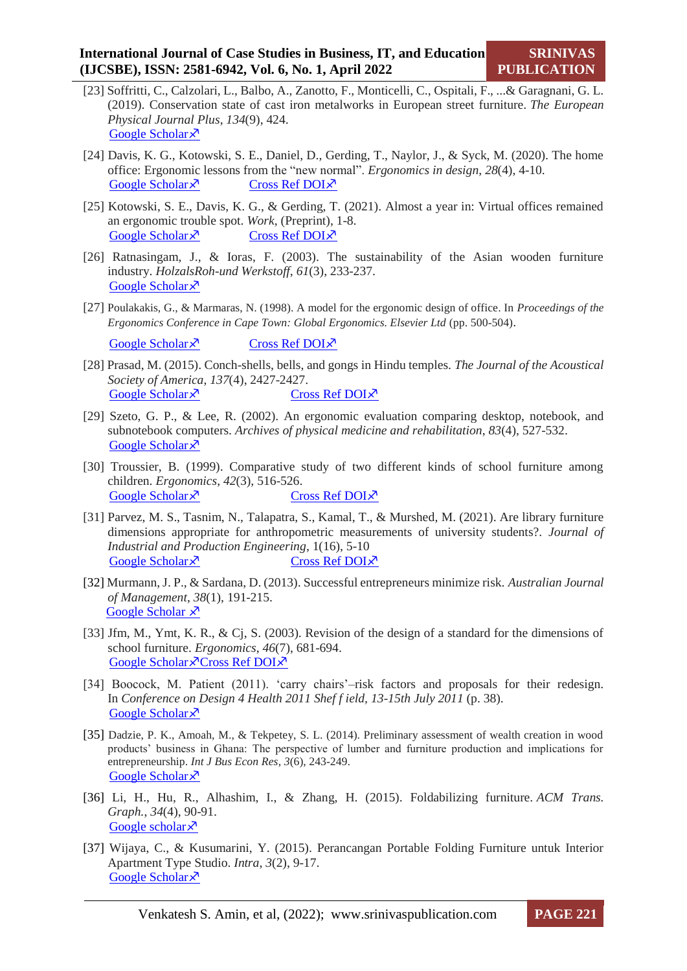- [23] Soffritti, C., Calzolari, L., Balbo, A., Zanotto, F., Monticelli, C., Ospitali, F., ...& Garagnani, G. L. (2019). Conservation state of cast iron metalworks in European street furniture. *The European Physical Journal Plus*, *134*(9), 424. [Google Scholar](https://scholar.google.com/scholar?hl=en&as_sdt=0%2C5&q=cast+iron+steel+furniture&btnG=#:~:text=Soffritti%2C%20C.%2C%20Calzolari%2C%20L.%2C%20Balbo%2C%20A.%2C%20Zanotto%2C%20F.%2C%20Monticelli%2C%20C.%2C%20Ospitali%2C%20F.%2C%20...%20%26%20Garagnani%2C%20G.%20L.%20(2019).%20Conservation%20state%20of%20cast%20iron%20metalworks%20in%20European) ×
- [24] Davis, K. G., Kotowski, S. E., Daniel, D., Gerding, T., Naylor, J., & Syck, M. (2020). The home office: Ergonomic lessons from the "new normal". *Ergonomics in design*, *28*(4), 4-10. [Google Scholar](https://scholar.google.com/scholar?hl=en&as_sdt=0%2C5&q=Tables+and+chairs+for+work+from+home&btnG=#:~:text=Davis%2C%20K.%20G.%2C%20Kotowski%2C%20S.%20E.%2C%20Daniel%2C%20D.%2C%20Gerding%2C%20T.%2C%20Naylor%2C%20J.%2C%20%26%20Syck%2C%20M.%20(2020).%20The%20home%20office%3A%20Ergonomic%20lessons%20from%20the%20%E2%80%9Cnew%20normal%E2%80%9D.%20Ergonomics)  $\times$  [Cross Ref DOI](https://doi.org/10.1177/1064804620937907) $\times$
- [25] Kotowski, S. E., Davis, K. G., & Gerding, T. (2021). Almost a year in: Virtual offices remained an ergonomic trouble spot. *Work*, (Preprint), 1-8. [Google Scholar](file:///C:/Users/LIB1/Downloads/Kotowski,%20S.%20E.,%20Davis,%20K.%20G.,%20&%20Gerding,%20T.%20(2021).%20Almost%20a%20year%20in:%20Virtual%20offices%20remained%20an%20ergonomic%20trouble%20spot.%20Work,%20(Preprint),%201-8)  $\times$  [Cross Ref DOI](https://doi.org/10.3233/wor-211052) $\times$
- [26] Ratnasingam, J., & Ioras, F. (2003). The sustainability of the Asian wooden furniture industry. *HolzalsRoh-und Werkstoff*, *61*(3), 233-237. [Google Scholar](https://scholar.google.com/scholar?hl=en&as_sdt=0%2C5&q=exports+of+furniture+to&btnG=#:~:text=Ratnasingam%2C%20J.%2C%20%26%20Ioras%2C%20F.%20(2003).%20The%20sustainability%20of%20the%20Asian%20wooden%20furniture%20industry.%20Holz%20als%20Roh%2Dund%20Werkstoff%2C%2061(3)%2C%20233%2D237.) ×
- [27] Poulakakis, G., & Marmaras, N. (1998). A model for the ergonomic design of office. In *Proceedings of the Ergonomics Conference in Cape Town: Global Ergonomics. Elsevier Ltd* (pp. 500-504).

[Google Scholar](https://scholar.google.co.in/scholar?hl=en&as_sdt=0%2C5&q=Poulakakis%2C+G.%2C+%26+Marmaras%2C+N.+%281998%29.+A+model+for+the+ergonomic+design+of+office.+In+Proceedings+of+the+Ergonomics+Conference+in+Cape+Town%3A+Global+Ergonomics.+Elsevier+Ltd+%28pp.+500-504&btnG=#:~:text=Poulakakis%2C%20G.%2C%20%26%20Marmaras%2C%20N.%20(1998).%20A%20model%20for%20the%20ergonomic%20design%20of%20office.%20In%20Proceedings%20of%20the%20Ergonomics%20Conference%20in%20Cape%20Town%3A%20Global%20Ergonomics.%20Elsevier%20Ltd%20(pp.%20500)  $\sqrt{2}$  [Cross Ref DOI](https://doi.org/10.1016/b978-008043334-9/50102-5)  $\sqrt{2}$ 

- [28] Prasad, M. (2015). Conch-shells, bells, and gongs in Hindu temples. *The Journal of the Acoustical Society of America*, *137*(4), 2427-2427. [Google Scholar](https://scholar.google.com/scholar?hl=en&as_sdt=0%2C5&q=Conch-shells%2C+bells%2C+and+gongs+in+Hindu+temple&btnG=#:~:text=Prasad%2C%20M.%20(2015).%20Conch%2Dshells%2C%20bells%2C%20and%20gongs%20in%20Hindu%20temples.%20The%20Journal%20of%20the%20Acoustical%20Society%20of%20America%2C%20137(4)%2C%202427%2D2427.)  $\lambda$  [Cross Ref DOI](https://doi.org/10.1121/1.4920854) $\lambda$
- [29] Szeto, G. P., & Lee, R. (2002). An ergonomic evaluation comparing desktop, notebook, and subnotebook computers. *Archives of physical medicine and rehabilitation*, *83*(4), 527-532. [Google Scholar](https://scholar.google.com/scholar?hl=en&as_sdt=0%2C5&q=ergonomic+evaluation&btnG=#:~:text=Szeto%2C%20G.%20P.%2C%20%26%20Lee%2C%20R.%20(2002).%20An%20ergonomic%20evaluation%20comparing%20desktop%2C%20notebook%2C%20and%20subnotebook%20computers.%20Archives%20of%20physical%20medicine%20and%20rehabilitation%2C%2083(4)%2C%20527%2D532.) ×
- [30] Troussier, B. (1999). Comparative study of two different kinds of school furniture among children. *Ergonomics*, *42*(3), 516-526. [Google Scholar](https://scholar.google.com/scholar?hl=en&as_sdt=0%2C5&q=furniture+for+adults&btnG=#:~:text=Troussier%2C%20B.%20(1999).%20Comparative%20study%20of%20two%20different%20kinds%20of%20school%20furniture%20among%20children.%20Ergonomics%2C%2042(3)%2C%20516%2D526.)  $\lambda$  [Cross Ref DOI](https://doi.org/10.1080/001401399185612) $\lambda$
- [31] Parvez, M. S., Tasnim, N., Talapatra, S., Kamal, T., & Murshed, M. (2021). Are library furniture dimensions appropriate for anthropometric measurements of university students?. *Journal of Industrial and Production Engineering*, 1(16), 5-10 [Google Scholar](https://scholar.google.com/scholar?hl=en&as_sdt=0%2C5&q=FURNITURE+FOR+Library&btnG=#:~:text=Parvez%2C%20M.%20S.%2C%20Tasnim%2C%20N.%2C%20Talapatra%2C%20S.%2C%20Kamal%2C%20T.%2C%20%26%20Murshed%2C%20M.%20(2021).%20Are%20library%20furniture%20dimensions%20appropriate%20for%20anthropometric%20measurements%20of%20university%20students%3F.%20)  $\times$  [Cross Ref DOI](https://doi.org/10.4324/9780203584033-20) $\times$
- [32] Murmann, J. P., & Sardana, D. (2013). Successful entrepreneurs minimize risk. *Australian Journal of Management*, *38*(1), 191-215. [Google Scholar](https://scholar.google.com/scholar?hl=en&as_sdt=0%2C5&q=successful+entreprenuers&btnG=#:~:text=Murmann%2C%20J.%20P.%2C%20%26%20Sardana%2C%20D.%20(2013).%20Successful%20entrepreneurs%20minimize%20risk.%20Australian%20Journal%20of%20Management%2C%2038(1)%2C%20191%2D215.)  $\lambda$
- [33] Jfm, M., Ymt, K. R., & Cj, S. (2003). Revision of the design of a standard for the dimensions of school furniture. *Ergonomics*, *46*(7), 681-694. [Google Scholar](https://scholar.google.com/scholar?hl=en&as_sdt=0%2C5&q=Revision+of+the+design+of+a+standard+for+the+dimensions+of+school+furniture&btnG=#:~:text=Jfm%2C%20M.%2C%20Ymt%2C%20K.%20R.%2C%20%26%20Cj%2C%20S.%20(2003).%20Revision%20of%20the%20design%20of%20a%20standard%20for%20the%20dimensions%20of%20school%20furniture.%20Ergonomics%2C%2046(7)%2C%20681%2D694.)  $\sqrt{2}$ [Cross Ref DOI](https://doi.org/10.1080/0014013031000085635) $\sqrt{2}$
- [34] Boocock, M. Patient (2011). 'carry chairs'–risk factors and proposals for their redesign. In *Conference on Design 4 Health 2011 Shef f ield, 13-15th July 2011* (p. 38). [Google Scholar](https://scholar.google.com/scholar?hl=en&as_sdt=0%2C5&q=design+criteria+for+foldable+chairs&btnG=#:~:text=Boocock%2C%20M.%20Patient%20%E2%80%98carry%20chairs%E2%80%99%E2%80%93risk%20factors%20and%20proposals%20for%20their%20redesign.%20In%20Conference%20on%20Design%204%20Health%202011%20Shef%20f%20ield%2C%2013%2D15th%20July%202011%20(p.%2038).) ×
- [35] Dadzie, P. K., Amoah, M., & Tekpetey, S. L. (2014). Preliminary assessment of wealth creation in wood products' business in Ghana: The perspective of lumber and furniture production and implications for entrepreneurship. *Int J Bus Econ Res*, *3*(6), 243-249. [Google Scholar](https://scholar.google.com/scholar?hl=en&as_sdt=0,5&qsp=2&q=garden+furniture+wood&qst=ib#:~:text=Dadzie%2C%20P.%20K.%2C%20Amoah%2C%20M.%2C%20%26%20Tekpetey%2C%20S.%20L.%20(2014).%20Preliminary%20assessment%20of%20wealth%20creation%20in%20wood%20products%E2%80%99%20business%20in%20Ghana%3A%20The%20perspective%20of%20lumber%20and%20furniture%20) ×
- [36] Li, H., Hu, R., Alhashim, I., & Zhang, H. (2015). Foldabilizing furniture. *ACM Trans. Graph.*, *34*(4), 90-91. [Google scholar](https://scholar.google.com/scholar?hl=en&as_sdt=0%2C5&q=foldable+furniture&btnG=#:~:text=Li%2C%20H.%2C%20Hu%2C%20R.%2C%20Alhashim%2C%20I.%2C%20%26%20Zhang%2C%20H.%20(2015).%20Foldabilizing%20furniture.%20ACM%20Trans.%20Graph.%2C%2034(4)%2C%2090%2D1.) $\lambda$
- [37] Wijaya, C., & Kusumarini, Y. (2015). Perancangan Portable Folding Furniture untuk Interior Apartment Type Studio. *Intra*, *3*(2), 9-17. [Google Scholar](https://scholar.google.com/scholar?hl=en&as_sdt=0%2C5&q=folding+furniture&btnG=#:~:text=Wijaya%2C%20C.%2C%20%26%20Kusumarini%2C%20Y.%20(2015).%20Perancangan%20Portable%20Folding%20Furniture%20untuk%20Interior%20Apartemen%20Tipe%20Studio.%20Intra%2C%203(2)%2C%209%2D17.) ×